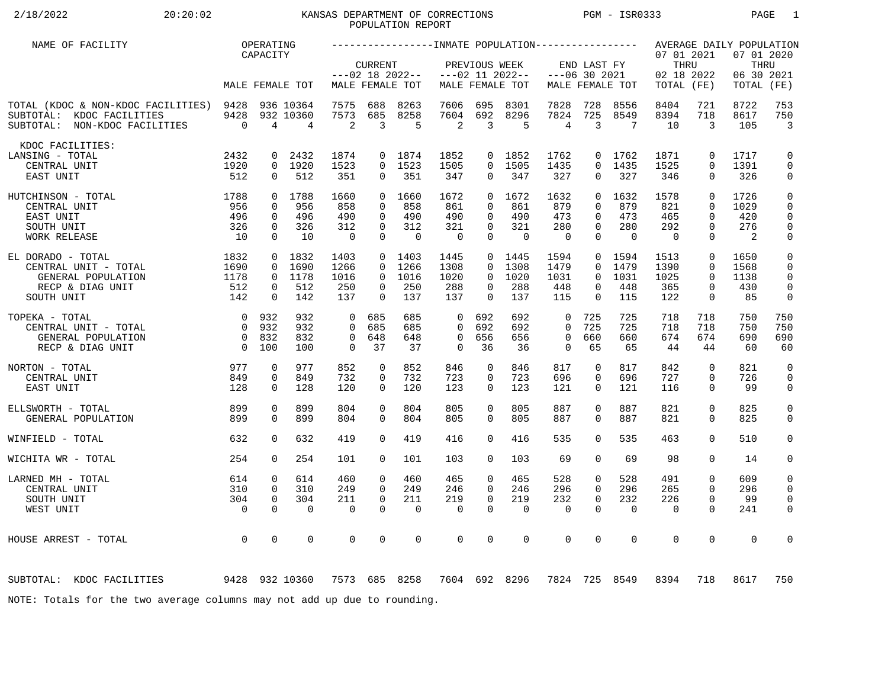# 2/18/2022 20:20:02 20:20:02 KANSAS DEPARTMENT OF CORRECTIONS PGM - ISR0333 PAGE 1 POPULATION REPORT

| NAME OF FACILITY                                                                                      |                        | OPERATING                |                             |                       |                      |                       |                       |                              |                    |                   |                      |                   |                                  |                            | AVERAGE DAILY POPULATION         |                              |
|-------------------------------------------------------------------------------------------------------|------------------------|--------------------------|-----------------------------|-----------------------|----------------------|-----------------------|-----------------------|------------------------------|--------------------|-------------------|----------------------|-------------------|----------------------------------|----------------------------|----------------------------------|------------------------------|
|                                                                                                       |                        | CAPACITY                 |                             |                       | <b>CURRENT</b>       | $---02$ 18 2022--     |                       | PREVIOUS WEEK                | $---02$ 11 2022--  | $---06$ 30 2021   | END LAST FY          |                   | 07 01 2021<br>THRU<br>02 18 2022 |                            | 07 01 2020<br>THRU<br>06 30 2021 |                              |
|                                                                                                       |                        |                          | MALE FEMALE TOT             |                       |                      | MALE FEMALE TOT       |                       |                              | MALE FEMALE TOT    |                   |                      | MALE FEMALE TOT   | TOTAL (FE)                       |                            | TOTAL                            | (FE)                         |
| TOTAL (KDOC & NON-KDOC FACILITIES) 9428<br>SUBTOTAL: KDOC FACILITIES<br>SUBTOTAL: NON-KDOC FACILITIES | 9428<br>$\overline{0}$ | $\overline{4}$           | 936 10364<br>932 10360<br>4 | 7575<br>7573<br>2     | 688<br>685<br>3      | 8263<br>8258<br>5     | 7606<br>7604<br>2     | 695<br>692<br>$\overline{3}$ | 8301<br>8296<br>-5 | 7828<br>7824<br>4 | 728<br>725<br>3      | 8556<br>8549<br>7 | 8404<br>8394<br>10               | 721<br>718<br>3            | 8722<br>8617<br>105              | 753<br>750<br>$\overline{3}$ |
| KDOC FACILITIES:                                                                                      |                        |                          |                             |                       |                      |                       |                       |                              |                    |                   |                      |                   |                                  |                            |                                  |                              |
| LANSING - TOTAL                                                                                       | 2432                   | $\mathbf{0}$             | 2432                        | 1874                  |                      | 0 1874                | 1852                  |                              | 0 1852             | 1762              |                      | 0 1762            | 1871                             | $\mathbf 0$                | 1717                             | $\mathbf 0$                  |
| CENTRAL UNIT                                                                                          | 1920                   |                          | 0 1920                      | 1523                  |                      | $0$ 1523              | 1505                  |                              | 0 1505             | 1435              | $\Omega$             | 1435              | 1525                             | $\Omega$                   | 1391                             | $\mathbf 0$                  |
| EAST UNIT                                                                                             | 512                    | $\mathbf{0}$             | 512                         | 351                   | $\overline{0}$       | 351                   | 347                   | $\overline{0}$               | 347                | 327               | 0                    | 327               | 346                              | $\mathbf{0}$               | 326                              | 0                            |
| $\begin{array}{c} 1788 \\ 956 \\ 496 \\ 326 \\ 10 \end{array}$<br>HUTCHINSON - TOTAL                  |                        |                          | 0 1788                      | 1660                  |                      | 0, 1660               | 1672                  |                              | 0, 1672            | 1632              | $\Omega$             | 1632              | 1578                             | $\Omega$                   | 1726                             | $\mathsf 0$                  |
| CENTRAL UNIT                                                                                          |                        | $\Omega$                 | 956                         | 858                   | $\Omega$             | 858                   | 861                   | $\Omega$                     | 861                | 879               | $\Omega$             | 879               | 821                              | $\Omega$                   | 1029                             | $\mathbf 0$                  |
| EAST UNIT                                                                                             |                        | $\mathbf 0$              | 496                         | 490                   | $\Omega$             | 490                   | 490                   | $\Omega$                     | 490                | 473               | $\Omega$             | 473               | 465                              | $\Omega$                   | 420                              | $\mathbf 0$                  |
| SOUTH UNIT                                                                                            |                        | $\mathbf{0}$<br>$\Omega$ | 326<br>10                   | 312<br>$\overline{0}$ | $\Omega$<br>$\Omega$ | 312<br>$\overline{0}$ | 321<br>$\overline{0}$ | $\Omega$<br>$\Omega$         | 321<br>$\Omega$    | 280<br>$\Omega$   | $\Omega$<br>$\Omega$ | 280<br>$\bigcap$  | 292<br>$\overline{0}$            | $\Omega$<br>$\Omega$       | 276<br>$\overline{2}$            | $\mathbf 0$                  |
| WORK RELEASE                                                                                          |                        |                          |                             |                       |                      |                       |                       |                              |                    |                   |                      |                   |                                  |                            |                                  | 0                            |
| EL DORADO - TOTAL                                                                                     | 1832                   |                          | $0$ 1832                    | 1403                  |                      | 0, 1403               | 1445                  |                              | $0$ 1445           | 1594              |                      | 0 1594            | 1513                             | $\mathbf 0$                | 1650                             | $\mathbf 0$                  |
| CENTRAL UNIT - TOTAL                                                                                  | 1690                   | $\Omega$                 | 1690                        | 1266                  | $\Omega$             | 1266                  | 1308                  | $\Omega$                     | 1308               | 1479              | $\Omega$             | 1479              | 1390                             | $\Omega$                   | 1568                             | $\mathbf 0$                  |
| GENERAL POPULATION                                                                                    | 1178                   |                          | 0 1178                      | 1016                  | $\Omega$             | 1016                  | 1020                  | $\Omega$                     | 1020               | 1031              | $\Omega$             | 1031              | 1025                             | $\Omega$                   | 1138                             | $\Omega$                     |
| RECP & DIAG UNIT                                                                                      | 512                    | $\mathbf{0}$             | 512                         | 250                   | $\Omega$             | 250                   | 288                   | $\Omega$                     | 288                | 448               | 0                    | 448               | 365                              | $\mathbf 0$                | 430                              | $\mathbf 0$                  |
| SOUTH UNIT                                                                                            | 142                    | $\Omega$                 | 142                         | 137                   | $\Omega$             | 137                   | 137                   | $\Omega$                     | 137                | 115               | $\Omega$             | 115               | 122                              | $\mathbf 0$                | 85                               | 0                            |
| TOPEKA - TOTAL                                                                                        |                        | 0 932                    | 932                         | $\overline{0}$        | 685                  | 685                   | 0                     | 692                          | 692                | $\mathbf 0$       | 725                  | 725               | 718                              | 718                        | 750                              | 750                          |
| CENTRAL UNIT - TOTAL                                                                                  | $\overline{0}$         | 932                      | 932                         | $\Omega$              | 685                  | 685                   | $\Omega$              | 692                          | 692                | $\Omega$          | 725                  | 725               | 718                              | 718                        | 750                              | 750                          |
| GENERAL POPULATION                                                                                    |                        | 0 832                    | 832                         | $\mathbf 0$           | 648                  | 648                   | $\mathbf 0$           | 656                          | 656                | $\mathbf 0$       | 660                  | 660               | 674                              | 674                        | 690                              | 690                          |
| RECP & DIAG UNIT                                                                                      | $\overline{0}$         | 100                      | 100                         | $\Omega$              | 37                   | 37                    | $\Omega$              | 36                           | 36                 | $\Omega$          | 65                   | 65                | 44                               | 44                         | 60                               | 60                           |
|                                                                                                       |                        |                          |                             |                       |                      |                       |                       |                              |                    |                   |                      |                   |                                  |                            |                                  |                              |
| 977<br>NORTON - TOTAL<br>CENTRAL UNIT                                                                 | 849                    | 0<br>0                   | 977<br>849                  | 852<br>732            | $\mathbf 0$<br>0     | 852<br>732            | 846<br>723            | 0<br>0                       | 846<br>723         | 817<br>696        | 0<br>0               | 817<br>696        | 842<br>727                       | $\mathbf 0$<br>$\mathbf 0$ | 821<br>726                       | $\mathbf 0$<br>$\mathbf 0$   |
| EAST UNIT                                                                                             | 128                    | $\Omega$                 | 128                         | 120                   | $\Omega$             | 120                   | 123                   | $\Omega$                     | 123                | 121               | $\Omega$             | 121               | 116                              | $\Omega$                   | 99                               | 0                            |
|                                                                                                       |                        |                          |                             |                       |                      |                       |                       |                              |                    |                   |                      |                   |                                  |                            |                                  |                              |
| ELLSWORTH - TOTAL                                                                                     | 899                    | 0                        | 899                         | 804                   | $\Omega$             | 804                   | 805                   | $\Omega$                     | 805                | 887               | $\Omega$             | 887               | 821                              | $\mathbf 0$                | 825                              | $\mathsf{O}$                 |
| GENERAL POPULATION                                                                                    | 899                    | $\Omega$                 | 899                         | 804                   | $\Omega$             | 804                   | 805                   | $\Omega$                     | 805                | 887               | $\Omega$             | 887               | 821                              | $\Omega$                   | 825                              | $\mathbf 0$                  |
| WINFIELD - TOTAL                                                                                      | 632                    | $\Omega$                 | 632                         | 419                   | $\Omega$             | 419                   | 416                   | $\Omega$                     | 416                | 535               | $\Omega$             | 535               | 463                              | $\Omega$                   | 510                              | $\mathbf 0$                  |
|                                                                                                       |                        |                          |                             |                       |                      |                       |                       |                              |                    |                   |                      |                   |                                  |                            |                                  |                              |
| WICHITA WR - TOTAL                                                                                    | 254                    | $\Omega$                 | 254                         | 101                   | $\Omega$             | 101                   | 103                   | $\Omega$                     | 103                | 69                | 0                    | 69                | 98                               | $\Omega$                   | 14                               | 0                            |
| LARNED MH - TOTAL                                                                                     | 614                    | 0                        | 614                         | 460                   | $\mathbf 0$          | 460                   | 465                   | $\mathbf{0}$                 | 465                | 528               | 0                    | 528               | 491                              | $\mathbf 0$                | 609                              | 0                            |
| CENTRAL UNIT                                                                                          | 310                    | $\mathbf{0}$             | 310                         | 249                   | $\Omega$             | 249                   | 246                   | $\Omega$                     | 246                | 296               | $\Omega$             | 296               | 265                              | $\Omega$                   | 296                              | 0                            |
| SOUTH UNIT                                                                                            | 304                    | $\mathbf 0$              | 304                         | 211                   | $\mathbf 0$          | 211                   | 219                   | 0                            | 219                | 232               | $\mathbf 0$          | 232               | 226                              | $\mathbf 0$                | 99                               | $\mathbf 0$                  |
| WEST UNIT                                                                                             | $\overline{0}$         | $\Omega$                 | $\Omega$                    | $\Omega$              | $\Omega$             | $\mathbf 0$           | $\mathbf 0$           | $\Omega$                     | $\Omega$           | $\mathbf 0$       | $\Omega$             | $\Omega$          | $\overline{0}$                   | $\Omega$                   | 241                              | 0                            |
|                                                                                                       |                        |                          |                             |                       |                      |                       |                       |                              |                    |                   |                      |                   |                                  |                            |                                  |                              |
| HOUSE ARREST - TOTAL                                                                                  | $\overline{0}$         | $\mathbf 0$              | 0                           | $\mathbf 0$           | $\mathbf 0$          | $\mathbf 0$           | $\mathbf 0$           | 0                            | $\mathbf 0$        | $\mathbf 0$       | 0                    | $\mathbf 0$       | $\mathbf 0$                      | $\mathbf 0$                | $\mathbf 0$                      | 0                            |
|                                                                                                       |                        |                          |                             |                       |                      |                       |                       |                              |                    |                   |                      |                   |                                  |                            |                                  |                              |
|                                                                                                       |                        |                          |                             |                       |                      |                       |                       |                              |                    |                   |                      |                   |                                  |                            |                                  |                              |
| 9428 932 10360<br>SUBTOTAL: KDOC FACILITIES                                                           |                        |                          |                             |                       |                      | 7573 685 8258         |                       |                              | 7604 692 8296      |                   |                      | 7824 725 8549     | 8394                             | 718                        | 8617                             | 750                          |
| NOTE: Totals for the two average columns may not add up due to rounding.                              |                        |                          |                             |                       |                      |                       |                       |                              |                    |                   |                      |                   |                                  |                            |                                  |                              |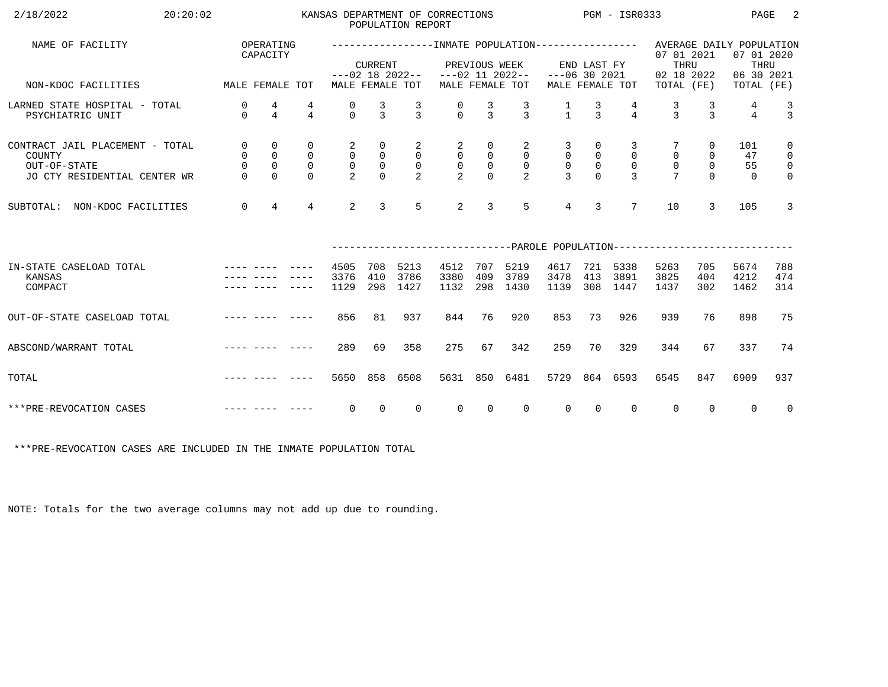| 2/18/2022<br>20:20:02                                                                     |                                                         |                                                               |                                                           |                                                       |                                                                          | POPULATION REPORT                                  | KANSAS DEPARTMENT OF CORRECTIONS                              |                                                                       |                                                                      | $PGM - ISR0333$                                                |                                                                 |                                                    |                                                                           |                                                 | PAGE                        | -2                                                                          |
|-------------------------------------------------------------------------------------------|---------------------------------------------------------|---------------------------------------------------------------|-----------------------------------------------------------|-------------------------------------------------------|--------------------------------------------------------------------------|----------------------------------------------------|---------------------------------------------------------------|-----------------------------------------------------------------------|----------------------------------------------------------------------|----------------------------------------------------------------|-----------------------------------------------------------------|----------------------------------------------------|---------------------------------------------------------------------------|-------------------------------------------------|-----------------------------|-----------------------------------------------------------------------------|
| NAME OF FACILITY                                                                          |                                                         | OPERATING<br>CAPACITY                                         |                                                           |                                                       | <b>CURRENT</b>                                                           |                                                    |                                                               | PREVIOUS WEEK                                                         |                                                                      |                                                                | END LAST FY                                                     |                                                    | 07 01 2021<br>THRU                                                        |                                                 | 07 01 2020<br>THRU          |                                                                             |
| MALE FEMALE TOT<br>NON-KDOC FACILITIES                                                    |                                                         |                                                               |                                                           |                                                       |                                                                          | MALE FEMALE TOT                                    | $---02$ 18 2022-- $---02$ 11 2022--                           |                                                                       | MALE FEMALE TOT                                                      | $---06$ 30 2021                                                |                                                                 | MALE FEMALE TOT                                    | 02 18 2022<br>TOTAL (FE)                                                  |                                                 | 06 30 2021<br>TOTAL (FE)    |                                                                             |
| LARNED STATE HOSPITAL - TOTAL<br>PSYCHIATRIC UNIT                                         | 0<br>$\Omega$                                           | 4<br>$\overline{4}$                                           | 4<br>$\overline{4}$                                       | 0<br>$\Omega$                                         | $\frac{3}{3}$                                                            | $\frac{3}{3}$                                      | $\frac{0}{0}$                                                 | $\frac{3}{3}$                                                         | $\frac{3}{3}$                                                        | $\frac{1}{1}$                                                  | $\frac{3}{3}$                                                   | $\overline{4}$                                     | $\frac{3}{3}$                                                             | $\frac{3}{3}$                                   | 4<br>$\overline{4}$         | $\frac{3}{3}$                                                               |
| CONTRACT JAIL PLACEMENT - TOTAL<br>COUNTY<br>OUT-OF-STATE<br>JO CTY RESIDENTIAL CENTER WR | $\mathsf{O}$<br>$\mathsf{O}$<br>$\mathsf 0$<br>$\Omega$ | $\mathbf 0$<br>$\mathsf 0$<br>$\mathsf{O}\xspace$<br>$\Omega$ | $\mathbf 0$<br>$\mathsf{O}$<br>$\overline{0}$<br>$\Omega$ | 2<br>$\overline{0}$<br>$\mathsf{O}$<br>$\overline{2}$ | $\overline{0}$<br>$\begin{smallmatrix}0\\0\end{smallmatrix}$<br>$\Omega$ | $\overline{a}$<br>$\overline{0}$<br>$\overline{0}$ | $\overline{a}$<br>$\begin{bmatrix} 0 \\ 0 \\ 2 \end{bmatrix}$ | $\mathbf 0$<br>$\mathsf{O}\xspace$<br>$\mathsf{O}\xspace$<br>$\Omega$ | $\overline{a}$<br>$\overline{0}$<br>$\overline{0}$<br>$\overline{2}$ | $\overline{3}$<br>$\mathsf{O}$<br>$\mathsf{O}$<br>$\mathbf{R}$ | $\overline{0}$<br>$\begin{smallmatrix}0\\0\\0\end{smallmatrix}$ | 3<br>$\overline{0}$<br>$\mathbf 0$<br>$\mathbf{R}$ | $\mathsf{O}\xspace$<br>$\overline{0}$<br>$\overline{7}$                   | $\overline{0}$<br>0<br>$\mathsf{O}$<br>$\Omega$ | 101<br>47<br>55<br>$\Omega$ | $\mathsf{O}$<br>$\overline{0}$<br>$\overline{\mathbf{0}}$<br>$\overline{0}$ |
| SUBTOTAL: NON-KDOC FACILITIES                                                             | $\overline{0}$                                          | $\overline{4}$                                                | $\overline{4}$                                            | $\overline{2}$                                        | $\overline{3}$                                                           | 5                                                  | 2                                                             | 3                                                                     | 5                                                                    | $\overline{4}$                                                 | $\overline{3}$                                                  | $7\overline{ }$                                    | 10                                                                        | 3                                               | 105                         | $\mathbf{3}$                                                                |
|                                                                                           |                                                         |                                                               |                                                           |                                                       |                                                                          |                                                    |                                                               |                                                                       |                                                                      |                                                                |                                                                 |                                                    | ------------------------------PAROLE POPULATION-------------------------- |                                                 |                             |                                                                             |
| IN-STATE CASELOAD TOTAL<br>KANSAS<br>COMPACT                                              |                                                         |                                                               |                                                           | 4505<br>3376<br>1129                                  | 708<br>410<br>298                                                        | 5213<br>3786<br>1427                               | 4512<br>3380<br>1132                                          | 707<br>409<br>298                                                     | 5219<br>3789<br>1430                                                 | 4617<br>3478<br>1139                                           | 413                                                             | 721 5338<br>3891<br>308 1447                       | 5263<br>3825<br>1437                                                      | 705<br>404<br>302                               | 5674<br>4212<br>1462        | 788<br>474<br>314                                                           |
| OUT-OF-STATE CASELOAD TOTAL                                                               |                                                         |                                                               |                                                           | 856                                                   | 81                                                                       | 937                                                | 844                                                           | 76                                                                    | 920                                                                  | 853                                                            | 73                                                              | 926                                                | 939                                                                       | 76                                              | 898                         | 75                                                                          |
| ABSCOND/WARRANT TOTAL                                                                     |                                                         |                                                               |                                                           | 289                                                   | 69                                                                       | 358                                                | 275                                                           | 67                                                                    | 342                                                                  | 259                                                            | 70                                                              | 329                                                | 344                                                                       | 67                                              | 337                         | 74                                                                          |
| TOTAL                                                                                     |                                                         |                                                               |                                                           | 5650                                                  | 858                                                                      | 6508                                               | 5631                                                          | 850                                                                   | 6481                                                                 | 5729                                                           |                                                                 | 864 6593                                           | 6545                                                                      | 847                                             | 6909                        | 937                                                                         |
| ***PRE-REVOCATION CASES                                                                   |                                                         |                                                               |                                                           | $\overline{0}$                                        | $\overline{0}$                                                           | $\overline{0}$                                     | $\overline{0}$                                                | $\overline{0}$                                                        | $\Omega$                                                             | $\overline{0}$                                                 | $\overline{0}$                                                  | $\mathbf{0}$                                       | $\overline{0}$                                                            | $\Omega$                                        | $\Omega$                    | $\overline{0}$                                                              |

\*\*\*PRE-REVOCATION CASES ARE INCLUDED IN THE INMATE POPULATION TOTAL

NOTE: Totals for the two average columns may not add up due to rounding.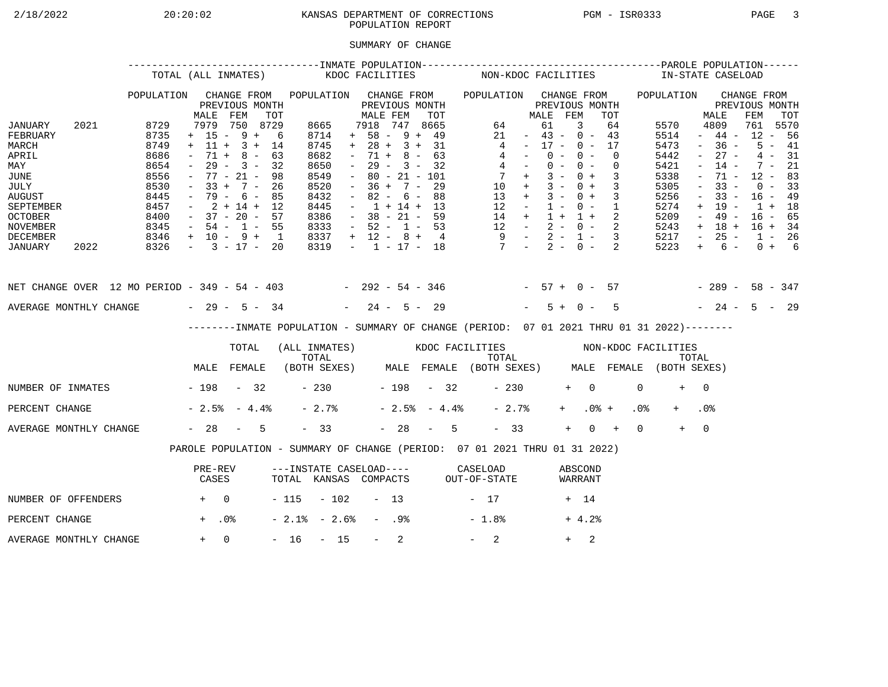# 2/18/2022 20:20:02 20:20:02 KANSAS DEPARTMENT OF CORRECTIONS PGM - ISR0333 PAGE 3 POPULATION REPORT

## SUMMARY OF CHANGE

|                                                                                                                                        |      |                                                                                      | TOTAL (ALL INMATES)                                                                                                                                          |                                                 |     |                                                                                             | KDOC FACILITIES     |                                                                                                                                                                          |                  |                                                                    |     |                | NON-KDOC FACILITIES                                                                                                                            |                                                                                                 |                                  |                |            |                          |                            |                 | IN-STATE CASELOAD                                                                    |                                                                                                           |                                                                                                       |                                                                                       |                                              |  |
|----------------------------------------------------------------------------------------------------------------------------------------|------|--------------------------------------------------------------------------------------|--------------------------------------------------------------------------------------------------------------------------------------------------------------|-------------------------------------------------|-----|---------------------------------------------------------------------------------------------|---------------------|--------------------------------------------------------------------------------------------------------------------------------------------------------------------------|------------------|--------------------------------------------------------------------|-----|----------------|------------------------------------------------------------------------------------------------------------------------------------------------|-------------------------------------------------------------------------------------------------|----------------------------------|----------------|------------|--------------------------|----------------------------|-----------------|--------------------------------------------------------------------------------------|-----------------------------------------------------------------------------------------------------------|-------------------------------------------------------------------------------------------------------|---------------------------------------------------------------------------------------|----------------------------------------------|--|
|                                                                                                                                        |      | POPULATION                                                                           | MALE                                                                                                                                                         | CHANGE FROM<br>PREVIOUS MONTH<br>FEM            | TOT | POPULATION CHANGE FROM                                                                      |                     | MALE FEM                                                                                                                                                                 |                  | PREVIOUS MONTH                                                     | TOT |                | POPULATION CHANGE FROM                                                                                                                         |                                                                                                 | MALE FEM                         | PREVIOUS MONTH |            |                          | TOT                        |                 | POPULATION                                                                           |                                                                                                           | MALE                                                                                                  | CHANGE FROM<br>PREVIOUS MONTH<br>FEM                                                  | TOT                                          |  |
| JANUARY<br>FEBRUARY<br>MARCH<br>APRIL<br>MAY<br>JUNE<br>JULY<br><b>AUGUST</b><br>SEPTEMBER<br><b>OCTOBER</b><br>NOVEMBER               | 2021 | 8729<br>8735<br>8749<br>8686<br>8654<br>8556<br>8530<br>8445<br>8457<br>8400<br>8345 | $+ 15 - 9 + 6$<br>$+ 11 + 3 + 14$<br>$\sim$<br>$\sim$<br>$-77 - 21 -$<br>$-33 + 7 - 26$<br>$-79 - 6 - 85$<br>$-2+14+12$<br>$-37 - 20 - 57$<br>$-54 - 1 - 55$ | 7979 750 8729<br>$71 + 8 - 63$<br>$29 - 3 - 32$ | 98  | 8665<br>8714<br>8745<br>8682<br>8650<br>8549<br>8520<br>8432<br>8445<br>8386<br>8333        |                     | 7918 747 8665<br>$+ 58 - 9 + 49$<br>$+ 28 + 3 + 31$<br>$\sim$<br>$\sim$ $-$<br>$\sim$<br>$-36 + 7 - 29$<br>$\sim$<br>$-1 + 14 + 13$<br>$-38 - 21 - 59$<br>$-52 - 1 - 53$ |                  | $71 + 8 - 63$<br>$29 - 3 - 32$<br>$80 - 21 - 101$<br>$82 - 6 - 88$ |     |                | $\overline{4}$<br>$\begin{array}{ccccccccc} 14 & + & 1 & + & 1 & + & 2 \\ 12 & - & 2 & - & 0 & - & 2 \\ 9 & - & 2 & - & 1 & - & 3 \end{array}$ | 64<br>21<br>$4 -$<br>$4 -$<br>$7 +$<br>$10 + 3 - 0 + 3$<br>$13 + 3 - 0 + 3$<br>$12 - 1 - 0 - 1$ | $-43 - 0 - 43$<br>$-17 - 0 - 17$ | 61<br>$0 -$    | 3<br>$0 -$ | $0 - 0 -$<br>$3 - 0 + 3$ | 64<br>$\Omega$<br>$\Omega$ |                 | 5570<br>5514<br>5473<br>5442<br>5421<br>5338<br>5305<br>5256<br>5274<br>5209<br>5243 | $\sim$<br>$\sim$<br>$\overline{\phantom{a}}$<br>$\equiv$<br>$\overline{\phantom{a}}$<br>$+$<br>$\sim$ $-$ | 4809<br>$-44-$<br>$-36 -$<br>$27 -$<br>$14 -$<br>71 -<br>$33 -$<br>$33 -$<br>19 -<br>49 -<br>$+ 18 +$ | 761 5570<br>$12 - 56$<br>$12 - 83$<br>$16 - 49$<br>$1 + 18$<br>$16 - 65$<br>$16 + 34$ | $5 - 41$<br>$4 - 31$<br>$7 - 21$<br>$0 - 33$ |  |
| DECEMBER<br>JANUARY                                                                                                                    | 2022 | $8346 + 10 - 9 + 1$<br>$8326 - 3 - 17 - 20$                                          |                                                                                                                                                              |                                                 |     | 8337<br>8319                                                                                |                     | $+ 12 - 8 + 4$                                                                                                                                                           |                  |                                                                    |     |                | $-1$ $-17$ $-18$ $7$ $-2$ $-0$ $-2$                                                                                                            |                                                                                                 |                                  |                |            |                          |                            |                 | 5217<br>5223                                                                         | $\sim$ $-$<br>$+$                                                                                         | $25 -$<br>$6 -$                                                                                       | $1 - 26$                                                                              | $0 + 6$                                      |  |
| NET CHANGE OVER 12 MO PERIOD - 349 - 54 - 403 - 292 - 54 - 346 - 57 + 0 - 57 - 289 - 58 - 347<br>AVERAGE MONTHLY CHANGE $-29 - 5 - 34$ |      |                                                                                      |                                                                                                                                                              |                                                 |     |                                                                                             |                     | $-24 - 5 - 29$                                                                                                                                                           |                  |                                                                    |     |                |                                                                                                                                                |                                                                                                 |                                  | $5 + 0 -$      |            |                          | $5^{\circ}$                |                 | $-24 - 5 - 29$                                                                       |                                                                                                           |                                                                                                       |                                                                                       |                                              |  |
|                                                                                                                                        |      |                                                                                      |                                                                                                                                                              |                                                 |     | --------INMATE POPULATION - SUMMARY OF CHANGE (PERIOD: 07 01 2021 THRU 01 31 2022)--------  |                     |                                                                                                                                                                          |                  |                                                                    |     |                |                                                                                                                                                |                                                                                                 |                                  |                |            |                          |                            |                 |                                                                                      |                                                                                                           |                                                                                                       |                                                                                       |                                              |  |
|                                                                                                                                        |      |                                                                                      |                                                                                                                                                              | TOTAL                                           |     | (ALL INMATES) WOOC FACILITIES NON-KDOC FACILITIES                                           |                     |                                                                                                                                                                          |                  |                                                                    |     |                |                                                                                                                                                |                                                                                                 |                                  |                |            |                          |                            |                 |                                                                                      |                                                                                                           |                                                                                                       |                                                                                       |                                              |  |
|                                                                                                                                        |      |                                                                                      | MALE FEMALE                                                                                                                                                  |                                                 |     | TOTAL TOTAL TOTAL TOTAL TOTAL TOTAL TOTAL TOTAL TOTAL (BOTH SEXES) MALE FEMALE (BOTH SEXES) |                     |                                                                                                                                                                          |                  |                                                                    |     |                |                                                                                                                                                |                                                                                                 |                                  |                |            |                          |                            |                 |                                                                                      |                                                                                                           |                                                                                                       |                                                                                       |                                              |  |
| NUMBER OF INMATES - 198 - 32                                                                                                           |      |                                                                                      |                                                                                                                                                              |                                                 |     |                                                                                             | $-230$ $-198$ $-32$ |                                                                                                                                                                          |                  |                                                                    |     |                |                                                                                                                                                | $-230$                                                                                          |                                  |                | $+ 0$      |                          |                            | $\Omega$        | $+$                                                                                  | $\bigcap$                                                                                                 |                                                                                                       |                                                                                       |                                              |  |
| PERCENT CHANGE                                                                                                                         |      |                                                                                      | $-2.5$ $-4.4$ $-$                                                                                                                                            |                                                 |     | $-2.7%$                                                                                     |                     |                                                                                                                                                                          |                  |                                                                    |     | $-2.5% - 4.4%$ |                                                                                                                                                | $-2.7%$                                                                                         |                                  |                | $+$ $-$    | $.0%$ +                  |                            | .0 <sub>8</sub> |                                                                                      | .0 <sub>8</sub>                                                                                           |                                                                                                       |                                                                                       |                                              |  |
| AVERAGE MONTHLY CHANGE                                                                                                                 |      |                                                                                      | $-28 - 5$                                                                                                                                                    |                                                 |     | $-33$                                                                                       |                     |                                                                                                                                                                          |                  |                                                                    |     | $-28 - 5$      |                                                                                                                                                | $-33$                                                                                           |                                  |                | $+$        | $0 +$                    |                            | $\Omega$        | $+$                                                                                  | $\overline{0}$                                                                                            |                                                                                                       |                                                                                       |                                              |  |
|                                                                                                                                        |      |                                                                                      | PAROLE POPULATION - SUMMARY OF CHANGE (PERIOD: 07 01 2021 THRU 01 31 2022)                                                                                   |                                                 |     |                                                                                             |                     |                                                                                                                                                                          |                  |                                                                    |     |                |                                                                                                                                                |                                                                                                 |                                  |                |            |                          |                            |                 |                                                                                      |                                                                                                           |                                                                                                       |                                                                                       |                                              |  |
|                                                                                                                                        |      |                                                                                      | PRE-REV<br>CASES                                                                                                                                             |                                                 |     | ---INSTATE CASELOAD---- CASELOAD<br>TOTAL KANSAS COMPACTS OUT-OF-STATE                      |                     |                                                                                                                                                                          |                  |                                                                    |     |                |                                                                                                                                                |                                                                                                 |                                  |                |            | ABSCOND<br>WARRANT       |                            |                 |                                                                                      |                                                                                                           |                                                                                                       |                                                                                       |                                              |  |
| NUMBER OF OFFENDERS                                                                                                                    |      | $+$ 0                                                                                |                                                                                                                                                              |                                                 |     | $-115 - 102 - 13$                                                                           |                     |                                                                                                                                                                          |                  |                                                                    |     |                | $-17$                                                                                                                                          |                                                                                                 |                                  |                | + 14       |                          |                            |                 |                                                                                      |                                                                                                           |                                                                                                       |                                                                                       |                                              |  |
| PERCENT CHANGE                                                                                                                         |      |                                                                                      | $+$ .0%                                                                                                                                                      |                                                 |     | $-2.1$ % $-2.6$ %                                                                           |                     |                                                                                                                                                                          | - .98            |                                                                    |     |                | $-1.8%$                                                                                                                                        |                                                                                                 |                                  |                |            | $+4.2%$                  |                            |                 |                                                                                      |                                                                                                           |                                                                                                       |                                                                                       |                                              |  |
| AVERAGE MONTHLY CHANGE                                                                                                                 |      |                                                                                      | $+ 0$                                                                                                                                                        |                                                 |     | $-16 - 15$                                                                                  |                     |                                                                                                                                                                          | $\sim$ 100 $\mu$ | 2                                                                  |     |                | $-2$                                                                                                                                           |                                                                                                 |                                  |                | $+$        | 2                        |                            |                 |                                                                                      |                                                                                                           |                                                                                                       |                                                                                       |                                              |  |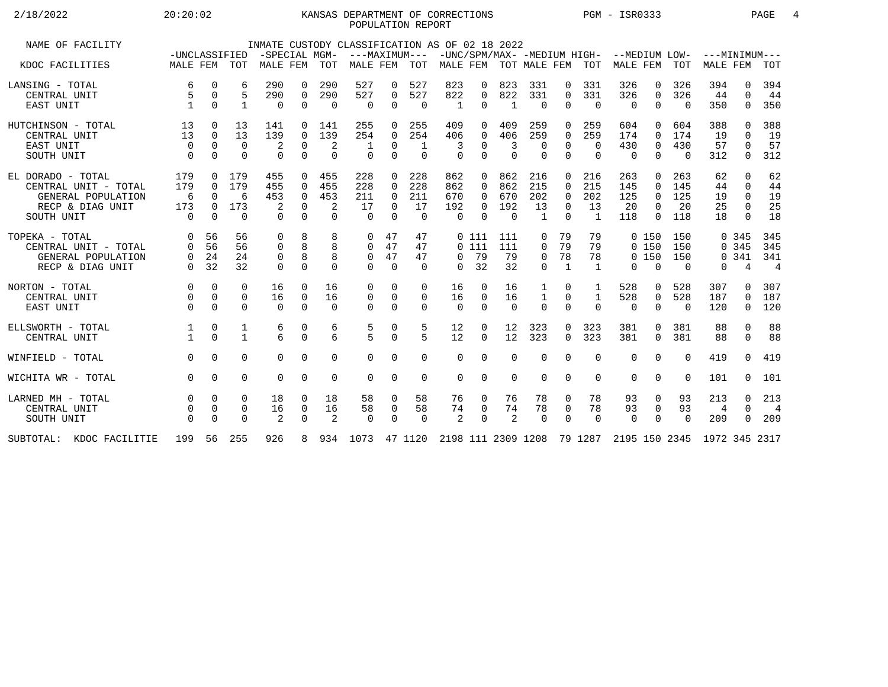## 2/18/2022 20:20:02 20:20:02 KANSAS DEPARTMENT OF CORRECTIONS PGM - ISR0333 PAGE 4 POPULATION REPORT

| NAME OF FACILITY         |                               |             |              | -SPECIAL MGM- |             |            | INMATE CUSTODY CLASSIFICATION AS OF 02 18 2022<br>---MAXIMUM---           |             |             |              |          |                           |                |              |              |                                                       |                |          | $---MINTMINIM---$ |              |                |
|--------------------------|-------------------------------|-------------|--------------|---------------|-------------|------------|---------------------------------------------------------------------------|-------------|-------------|--------------|----------|---------------------------|----------------|--------------|--------------|-------------------------------------------------------|----------------|----------|-------------------|--------------|----------------|
| KDOC FACILITIES          | -UNCLASSIFIED<br>MALE FEM TOT |             |              | MALE FEM      |             | <b>TOT</b> | MALE FEM                                                                  |             | TOT         |              |          | MALE FEM TOT MALE FEM TOT |                |              |              | -UNC/SPM/MAX- -MEDIUM HIGH- --MEDIUM LOW-<br>MALE FEM |                | TOT      | <b>MALE FEM</b>   |              | TOT            |
| LANSING - TOTAL          | 6                             | $\mathbf 0$ | 6            | 290           | 0           | 290        | 527                                                                       | 0           | 527         | 823          | 0        | 823                       | 331            | 0            | 331          | 326                                                   | 0              | 326      | 394               | $\Omega$     | 394            |
| CENTRAL UNIT             |                               | $\mathbf 0$ | 5            | 290           | $\mathbf 0$ | 290        | 527                                                                       | 0           | 527         | 822          | 0        | 822                       | 331            | $\Omega$     | 331          | 326                                                   | $\mathbf 0$    | 326      | 44                | $\Omega$     | 44             |
| EAST UNIT                |                               | $\Omega$    | 1            | 0             | $\mathbf 0$ | $\Omega$   | $\overline{0}$                                                            | 0           | $\mathbf 0$ | $\mathbf{1}$ | $\Omega$ | $\mathbf{1}$              | $\Omega$       | $\Omega$     | $\Omega$     | $\mathbf 0$                                           | $\mathbf 0$    | $\Omega$ | 350               | 0            | 350            |
| HUTCHINSON - TOTAL       | 13                            | 0           | 13           | 141           | 0           | 141        | 255                                                                       | 0           | 255         | 409          | 0        | 409                       | 259            | 0            | 259          | 604                                                   | $\Omega$       | 604      | 388               | <sup>0</sup> | 388            |
| CENTRAL UNIT             | 13                            | $\Omega$    | 13           | 139           | $\Omega$    | 139        | 254                                                                       | $\Omega$    | 254         | 406          | $\Omega$ | 406                       | 259            | $\Omega$     | 259          | 174                                                   | $\Omega$       | 174      | 19                | $\Omega$     | 19             |
| EAST UNIT                | $\Omega$                      | $\Omega$    | $\Omega$     | 2             | 0           | 2          |                                                                           | 0           | -1          | 3            | $\Omega$ | 3                         | 0              | $\Omega$     | $\mathbf 0$  | 430                                                   | $\mathbf 0$    | 430      | 57                | $\Omega$     | 57             |
| SOUTH UNIT               | $\Omega$                      | $\Omega$    | $\Omega$     | $\Omega$      | $\Omega$    | $\Omega$   | $\Omega$                                                                  | $\Omega$    | $\Omega$    | $\Omega$     | $\Omega$ | $\Omega$                  | $\Omega$       | $\Omega$     | $\Omega$     | $\Omega$                                              | $\Omega$       | $\Omega$ | 312               | 0            | 312            |
| EL DORADO - TOTAL        | 179                           | $\Omega$    | 179          | 455           | $\Omega$    | 455        | 228                                                                       | $\Omega$    | 228         | 862          | $\Omega$ | 862                       | 216            | $\Omega$     | 216          | 263                                                   | $\Omega$       | 263      | 62                | $\Omega$     | 62             |
| CENTRAL UNIT - TOTAL     | 179                           | $\Omega$    | 179          | 455           | $\Omega$    | 455        | 228                                                                       | 0           | 228         | 862          | $\Omega$ | 862                       | 215            | $\Omega$     | 215          | 145                                                   | $\overline{0}$ | 145      | 44                | $\Omega$     | 44             |
| GENERAL POPULATION       | - 6                           | $\Omega$    | 6            | 453           | $\mathbf 0$ | 453        | 211                                                                       | $\Omega$    | 211         | 670          | $\Omega$ | 670                       | 202            | $\Omega$     | 202          | 125                                                   | $\Omega$       | 125      | 19                | $\Omega$     | 19             |
| RECP & DIAG UNIT         | 173                           | $\Omega$    | 173          | 2             | $\Omega$    | 2          | 17                                                                        | $\Omega$    | 17          | 192          | $\Omega$ | 192                       | 13             | $\Omega$     | 13           | 20                                                    | $\Omega$       | 20       | 25                | $\Omega$     | 25             |
| SOUTH UNIT               | $\Omega$                      | $\Omega$    | $\Omega$     | $\cap$        | $\cap$      | $\Omega$   | $\cap$                                                                    | $\Omega$    | $\Omega$    | $\Omega$     | $\cap$   | $\Omega$                  | $\overline{1}$ | $\Omega$     | $\mathbf{1}$ | 118                                                   | $\Omega$       | 118      | 18                | $\cap$       | 18             |
| TOPEKA - TOTAL           | $\Omega$                      | 56          | 56           | $\Omega$      | 8           | 8          | $\Omega$                                                                  | 47          | 47          |              | 0 111    | 111                       | 0              | 79           | 79           |                                                       | 0, 150         | 150      |                   | 0.345        | 345            |
| CENTRAL UNIT - TOTAL     | $\Omega$                      | 56          | 56           | $\Omega$      | 8           | 8          | $\Omega$                                                                  | 47          | 47          |              | 0111     | 111                       | $\Omega$       | 79           | 79           |                                                       | 0, 150         | 150      |                   | 0 3 4 5      | 345            |
| GENERAL POPULATION       | $\overline{0}$                | 24          | 24           | 0             | 8           | 8          | $\mathbf 0$                                                               | 47          | 47          | $\Omega$     | 79       | 79                        | 0              | 78           | 78           |                                                       | 0, 150         | 150      |                   | 0.341        | 341            |
| RECP & DIAG UNIT         | $\Omega$                      | 32          | 32           | $\Omega$      | $\Omega$    | $\Omega$   | $\Omega$                                                                  | $\Omega$    | $\Omega$    | $\Omega$     | 32       | 32                        | $\Omega$       | $\mathbf{1}$ | $\mathbf{1}$ | $\Omega$                                              | $\Omega$       | $\Omega$ | 0                 | 4            | $\overline{4}$ |
| NORTON - TOTAL           | $\Omega$                      | $\Omega$    | $\Omega$     | 16            | $\Omega$    | 16         | 0                                                                         | $\Omega$    | $\Omega$    | 16           | $\Omega$ | 16                        | 1              | $\Omega$     | 1            | 528                                                   | 0              | 528      | 307               | <sup>n</sup> | 307            |
| CENTRAL UNIT             | $\Omega$                      | $\mathbf 0$ | $\Omega$     | 16            | 0           | 16         | $\mathbf 0$                                                               | $\mathbf 0$ | 0           | 16           | $\Omega$ | 16                        | $\mathbf{1}$   | $\Omega$     | 1            | 528                                                   | $\overline{0}$ | 528      | 187               | $\Omega$     | 187            |
| EAST UNIT                | $\Omega$                      | $\Omega$    | $\Omega$     | $\Omega$      | $\Omega$    | $\Omega$   | $\Omega$                                                                  | $\Omega$    | $\Omega$    | $\Omega$     | $\Omega$ | $\Omega$                  | $\Omega$       | $\Omega$     | $\Omega$     | $\Omega$                                              | $\Omega$       | $\Omega$ | 120               | 0            | 120            |
| ELLSWORTH - TOTAL        |                               | 0           | 1            | 6             | $\Omega$    | 6          | $\frac{5}{5}$                                                             | 0           | 5           | 12           | $\Omega$ | 12                        | 323            | $\Omega$     | 323          | 381                                                   | $\Omega$       | 381      | 88                | $\Omega$     | 88             |
| CENTRAL UNIT             |                               | $\Omega$    | $\mathbf{1}$ | б.            | $\Omega$    | 6          |                                                                           | $\mathbf 0$ | 5           | 12           | $\Omega$ | 12                        | 323            | $\Omega$     | 323          | 381                                                   | $\Omega$       | 381      | 88                | $\Omega$     | 88             |
| WINFIELD - TOTAL         | $\Omega$                      | $\Omega$    | $\Omega$     | $\Omega$      | $\Omega$    | $\Omega$   | $\Omega$                                                                  | $\Omega$    | $\Omega$    | $\Omega$     | $\Omega$ | $\Omega$                  | $\Omega$       | $\Omega$     | $\Omega$     | $\mathbf 0$                                           | $\mathbf 0$    | $\Omega$ | 419               | $\Omega$     | 419            |
| WICHITA WR - TOTAL       | $\Omega$                      | $\Omega$    | $\Omega$     | $\Omega$      | $\Omega$    | 0          | $\Omega$                                                                  | $\mathbf 0$ | $\mathbf 0$ | $\Omega$     | $\Omega$ | $\Omega$                  | $\Omega$       | 0            | $\Omega$     | $\mathbf 0$                                           | $\overline{0}$ | $\Omega$ | 101               | $\Omega$     | 101            |
| LARNED MH - TOTAL        |                               | 0           | $\Omega$     | 18            | 0           | 18         | 58                                                                        | 0           | 58          | 76           | 0        | 76                        | 78             | 0            | 78           | 93                                                    | 0              | 93       | 213               | $\Omega$     | 213            |
| CENTRAL UNIT             |                               | $\Omega$    | $\Omega$     | 16            | 0           | 16         | 58                                                                        | 0           | 58          | 74           | $\Omega$ | 74                        | 78             | $\mathbf 0$  | 78           | 93                                                    | $\mathbf 0$    | 93       | 4                 | $\Omega$     | $\overline{4}$ |
| SOUTH UNIT               |                               | $\Omega$    | $\Omega$     | 2             | $\Omega$    | 2          | $\Omega$                                                                  | $\Omega$    | $\Omega$    | 2            | $\Omega$ | 2                         | $\Omega$       | $\Omega$     | $\Omega$     | $\Omega$                                              | $\Omega$       | $\Omega$ | 209               | $\Omega$     | 209            |
| SUBTOTAL: KDOC FACILITIE |                               |             | 199 56 255   | 926           |             |            | 8 934 1073 47 1120 2198 111 2309 1208 79 1287 2195 150 2345 1972 345 2317 |             |             |              |          |                           |                |              |              |                                                       |                |          |                   |              |                |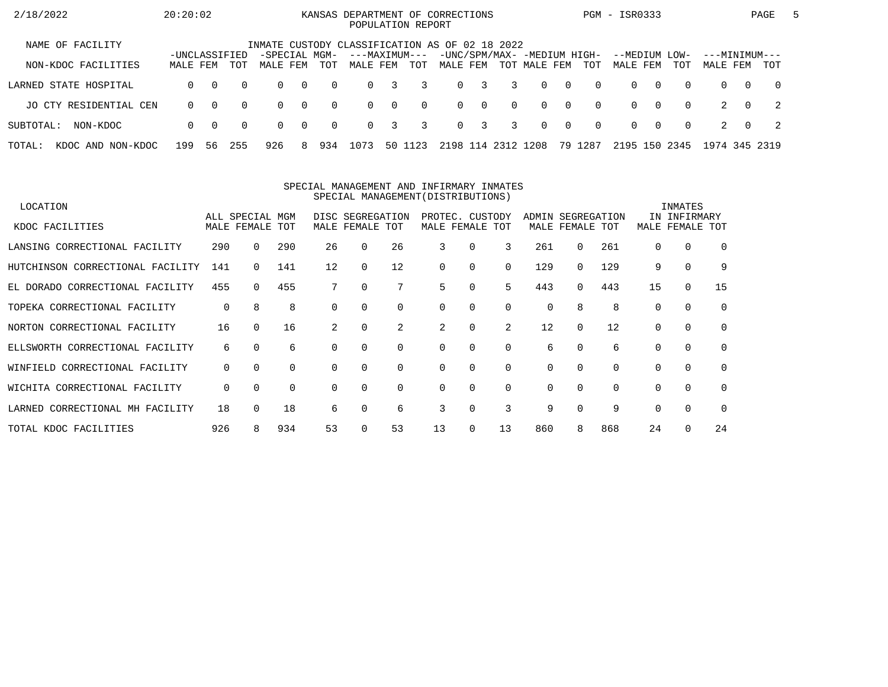| 2/18/2022                   | 20:20:02                  |          |          |                                                |                |          | KANSAS DEPARTMENT OF CORRECTIONS<br>POPULATION REPORT |          |          |          |              |                    |                                             |                |          | PGM - ISR0333             |          |          |                           |                | PAGE           | 5 |
|-----------------------------|---------------------------|----------|----------|------------------------------------------------|----------------|----------|-------------------------------------------------------|----------|----------|----------|--------------|--------------------|---------------------------------------------|----------------|----------|---------------------------|----------|----------|---------------------------|----------------|----------------|---|
| NAME OF FACILITY            |                           |          |          | INMATE CUSTODY CLASSIFICATION AS OF 02 18 2022 |                |          |                                                       |          |          |          |              |                    |                                             |                |          |                           |          |          |                           |                |                |   |
| NON-KDOC FACILITIES         | -UNCLASSIFIED<br>MALE FEM |          | TOT      | -SPECIAL MGM-<br>MALE FEM                      |                | TOT      | ---MAXIMUM---<br>MALE FEM                             |          | TOT      | MALE FEM |              |                    | -UNC/SPM/MAX- -MEDIUM HIGH-<br>TOT MALE FEM |                | TOT      | --MEDIUM LOW-<br>MALE FEM |          | TOT      | ---MINIMUM---<br>MALE FEM |                | TOT            |   |
| LARNED STATE HOSPITAL       | $\Omega$                  | $\Omega$ | $\Omega$ | $\Omega$                                       | $\overline{0}$ | $\Omega$ | $\Omega$                                              | 3        | 3        |          | $0 \quad 3$  | $\overline{3}$     | $\Omega$                                    | $\bigcirc$     | $\Omega$ | $\Omega$                  | $\Omega$ | $\Omega$ | $\Omega$                  | $\Omega$       | $\overline{0}$ |   |
| JO CTY RESIDENTIAL CEN      | $\Omega$                  | $\Omega$ | $\Omega$ | $\Omega$                                       | $\bigcap$      | $\Omega$ | $\Omega$                                              | $\Omega$ | $\Omega$ |          | $0 \qquad 0$ | $\Omega$           | $\Omega$                                    | $\overline{0}$ | $\Omega$ | $\Omega$                  | $\Omega$ | $\Omega$ |                           | $\cap$         | $\overline{2}$ |   |
| SUBTOTAL:<br>NON-KDOC       | $\Omega$                  | $\Omega$ | $\Omega$ | $\Omega$                                       | $\overline{0}$ | $\Omega$ | $\Omega$                                              | 3        | 3        |          | $0 \quad 3$  | 3                  | $\Omega$                                    | $\overline{0}$ | $\Omega$ | $\Omega$                  | റ        | $\Omega$ | 2                         | $\overline{0}$ | $\overline{2}$ |   |
| TOTAL:<br>KDOC AND NON-KDOC | 199                       | 56       | 255      | 926                                            | 8.             | 934      | 1073                                                  | 50 1     | 123      |          |              | 2198 114 2312 1208 |                                             |                | 79 1287  | 2195 150 2345             |          |          | 1974 345 2319             |                |                |   |

#### SPECIAL MANAGEMENT AND INFIRMARY INMATESSPECIAL MANAGEMENT(DISTRIBUTIONS)

| LOCATION                         |             |                 |          |          |                  |             |                 |          |          |                   |              |          |          | INMATES      |          |
|----------------------------------|-------------|-----------------|----------|----------|------------------|-------------|-----------------|----------|----------|-------------------|--------------|----------|----------|--------------|----------|
|                                  |             | ALL SPECIAL MGM |          |          | DISC SEGREGATION |             | PROTEC. CUSTODY |          |          | ADMIN SEGREGATION |              |          |          | IN INFIRMARY |          |
| KDOC FACILITIES                  |             | MALE FEMALE TOT |          |          | MALE FEMALE TOT  |             | MALE FEMALE TOT |          |          |                   | MALE FEMALE  | TOT      | MALE     | FEMALE       | TOT      |
| LANSING CORRECTIONAL FACILITY    | 290         | 0               | 290      | 26       | 0                | 26          | 3               | 0        | 3        | 261               | $\Omega$     | 261      |          | $\Omega$     | $\Omega$ |
| HUTCHINSON CORRECTIONAL FACILITY | 141         | 0               | 141      | 12       | $\Omega$         | 12          | 0               | 0        | $\Omega$ | 129               | $\Omega$     | 129      | 9        | $\mathbf 0$  | 9        |
| EL DORADO CORRECTIONAL FACILITY  | 455         | $\Omega$        | 455      |          | 0                | 7           | 5               | 0        | 5        | 443               | $\Omega$     | 443      | 15       | 0            | 15       |
| TOPEKA CORRECTIONAL FACILITY     | $\mathbf 0$ | 8               | 8        | $\Omega$ |                  | $\Omega$    | 0               | $\Omega$ | $\Omega$ | 0                 | 8            | 8        | $\Omega$ | $\Omega$     | $\Omega$ |
| NORTON CORRECTIONAL FACILITY     | 16          | $\Omega$        | 16       | 2        | $\Omega$         | 2           | 2               | $\Omega$ | 2        | 12                | <sup>0</sup> | 12       |          | $\Omega$     | $\Omega$ |
| ELLSWORTH CORRECTIONAL FACILITY  | 6           | $\Omega$        | 6        | $\Omega$ |                  | $\mathbf 0$ | 0               | 0        | $\Omega$ | 6                 | $\Omega$     | 6        |          | $\mathbf 0$  | $\Omega$ |
| WINFIELD CORRECTIONAL FACILITY   | 0           | $\Omega$        | $\Omega$ | $\Omega$ | $\Omega$         | $\mathbf 0$ | 0               | $\Omega$ | $\Omega$ | 0                 | $\Omega$     | $\Omega$ | $\Omega$ | $\mathbf 0$  | $\Omega$ |
| WICHITA CORRECTIONAL FACILITY    | 0           | $\Omega$        | $\Omega$ | $\Omega$ |                  | $\Omega$    | 0               | $\Omega$ | $\Omega$ | 0                 | $\Omega$     | $\Omega$ | $\Omega$ | $\Omega$     | $\Omega$ |
| LARNED CORRECTIONAL MH FACILITY  | 18          | 0               | 18       | 6        |                  | 6           | 3               | 0        | 3        | 9                 |              | 9        |          | $\Omega$     | $\Omega$ |
| TOTAL KDOC FACILITIES            | 926         | 8               | 934      | 53       |                  | 53          | 13              | 0        | 13       | 860               | 8            | 868      | 24       | $\Omega$     | 24       |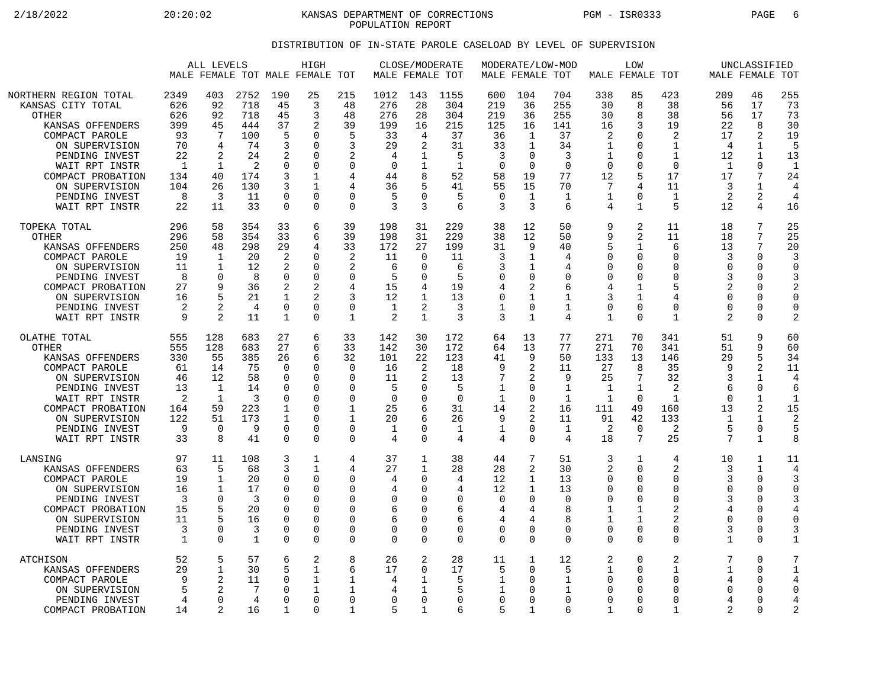2/18/2022 20:20:02 20:20:02 KANSAS DEPARTMENT OF CORRECTIONS PGM - ISR0333 PAGE 6 POPULATION REPORT

## DISTRIBUTION OF IN-STATE PAROLE CASELOAD BY LEVEL OF SUPERVISION

|                                                                                                                                                                                                                                   |                                                                            | ALL LEVELS                                                                      |                                                                                          |                                                                                              | HIGH<br>MALE FEMALE TOT MALE FEMALE TOT                                                                           |                                                                                          | MALE FEMALE TOT                                                       | CLOSE/MODERATE                                                                      |                                                                                  | MODERATE/LOW-MOD<br>MALE FEMALE TOT                                                      |                                                                        |                                                                                  | MALE FEMALE TOT                                                                          | LOW                                                                                                                                 |                                                                                                                 |                                                                                   | UNCLASSIFIED<br>MALE FEMALE TOT                                                                 |                                                                                                     |
|-----------------------------------------------------------------------------------------------------------------------------------------------------------------------------------------------------------------------------------|----------------------------------------------------------------------------|---------------------------------------------------------------------------------|------------------------------------------------------------------------------------------|----------------------------------------------------------------------------------------------|-------------------------------------------------------------------------------------------------------------------|------------------------------------------------------------------------------------------|-----------------------------------------------------------------------|-------------------------------------------------------------------------------------|----------------------------------------------------------------------------------|------------------------------------------------------------------------------------------|------------------------------------------------------------------------|----------------------------------------------------------------------------------|------------------------------------------------------------------------------------------|-------------------------------------------------------------------------------------------------------------------------------------|-----------------------------------------------------------------------------------------------------------------|-----------------------------------------------------------------------------------|-------------------------------------------------------------------------------------------------|-----------------------------------------------------------------------------------------------------|
| NORTHERN REGION TOTAL<br>KANSAS CITY TOTAL<br><b>OTHER</b><br>KANSAS OFFENDERS<br>COMPACT PAROLE<br>ON SUPERVISION<br>PENDING INVEST<br>WAIT RPT INSTR<br>COMPACT PROBATION<br>ON SUPERVISION<br>PENDING INVEST<br>WAIT RPT INSTR | 2349<br>626<br>626<br>399<br>93<br>70<br>22<br>-1<br>134<br>104<br>8<br>22 | 403<br>92<br>92<br>45<br>7<br>4<br>2<br>1<br>40<br>26<br>3<br>11                | 2752<br>718<br>718<br>444<br>100<br>74<br>24<br>$\overline{2}$<br>174<br>130<br>11<br>33 | 190<br>45<br>45<br>37<br>5<br>3<br>2<br>0<br>3<br>3<br>$\mathbf 0$<br>$\Omega$               | 25<br>3<br>3<br>2<br>$\Omega$<br>$\Omega$<br>$\Omega$<br>$\Omega$<br>$\mathbf{1}$<br>1<br>$\mathbf 0$<br>$\Omega$ | 215<br>48<br>48<br>39<br>5<br>3<br>2<br>$\mathbf 0$<br>4<br>4<br>$\mathbf 0$<br>$\Omega$ | 1012<br>276<br>276<br>199<br>33<br>29<br>4<br>0<br>44<br>36<br>5<br>3 | 143<br>28<br>28<br>16<br>4<br>2<br>8<br>$\Omega$<br>3                               | 1155<br>304<br>304<br>215<br>37<br>31<br>5<br>$\mathbf{1}$<br>52<br>41<br>5<br>6 | 600<br>219<br>219<br>125<br>36<br>33<br>3<br>$\Omega$<br>58<br>55<br>$\overline{0}$<br>3 | 104<br>36<br>36<br>16<br>1<br>1<br>0<br>$\Omega$<br>19<br>15<br>1<br>3 | 704<br>255<br>255<br>141<br>37<br>34<br>3<br>$\Omega$<br>77<br>70<br>1<br>6      | 338<br>30<br>30<br>16<br>2<br>1<br>1<br>$\Omega$<br>12<br>7<br>1<br>4                    | 85<br>8<br>8<br>3<br>$\Omega$<br>$\Omega$<br>0<br>$\Omega$<br>5<br>4<br>$\mathbf 0$<br>$\mathbf{1}$                                 | 423<br>38<br>38<br>19<br>2<br>1<br>$\mathbf 1$<br>$\Omega$<br>17<br>11<br>$\mathbf{1}$<br>5                     | 209<br>56<br>56<br>22<br>17<br>4<br>12<br>$\mathbf{1}$<br>17<br>3<br>2<br>12      | 46<br>17<br>17<br>8<br>2<br>1<br>1<br>$\Omega$<br>7<br>1<br>2<br>4                              | 255<br>73<br>73<br>30<br>19<br>5<br>13<br>$\mathbf{1}$<br>24<br>4<br>$\overline{4}$<br>16           |
| TOPEKA TOTAL<br>OTHER<br>KANSAS OFFENDERS<br>COMPACT PAROLE<br>ON SUPERVISION<br>PENDING INVEST<br>COMPACT PROBATION<br>ON SUPERVISION<br>PENDING INVEST<br>WAIT RPT INSTR                                                        | 296<br>296<br>250<br>19<br>11<br>8<br>27<br>16<br>2<br>9                   | 58<br>58<br>48<br>1<br>-1<br>$\Omega$<br>q<br>5<br>$\overline{2}$<br>2          | 354<br>354<br>298<br>20<br>12<br>8<br>36<br>21<br>4<br>11                                | 33<br>33<br>29<br>2<br>2<br>$\Omega$<br>2<br>1<br>$\overline{0}$<br>1                        | 6<br>6<br>4<br>$\Omega$<br>$\Omega$<br>$\Omega$<br>$\overline{2}$<br>2<br>$\mathbf 0$<br>$\Omega$                 | 39<br>39<br>33<br>2<br>2<br>$\mathbf 0$<br>4<br>3<br>$\mathbf 0$<br>1                    | 198<br>198<br>172<br>11<br>6<br>5<br>15<br>12<br>$\mathbf{1}$<br>2    | 31<br>31<br>27<br>$\Omega$<br>$\Omega$<br>$\Omega$<br>4<br>1<br>2<br>$\mathbf{1}$   | 229<br>229<br>199<br>11<br>6<br>5<br>19<br>13<br>3<br>3                          | 38<br>38<br>31<br>3<br>3<br>0<br>4<br>$\mathbf 0$<br>1<br>3                              | 12<br>12<br>9<br>1<br>1<br>$\Omega$<br>2<br>1<br>0<br>1                | 50<br>50<br>40<br>$\overline{4}$<br>4<br>$\Omega$<br>6<br>1<br>$\mathbf 1$<br>4  | 9<br>9<br>5<br>$\Omega$<br>$\Omega$<br>$\Omega$<br>4<br>3<br>$\mathbf 0$<br>$\mathbf{1}$ | $\overline{2}$<br>$\overline{2}$<br>$\mathbf 1$<br>$\Omega$<br>$\Omega$<br>$\Omega$<br>$\mathbf{1}$<br>1<br>$\mathbf 0$<br>$\Omega$ | 11<br>11<br>6<br>$\Omega$<br>$\mathbf 0$<br>$\Omega$<br>5<br>4<br>$\mathbf 0$<br>$\mathbf{1}$                   | 18<br>18<br>13<br>3<br>$\Omega$<br>3<br>$\overline{2}$<br>$\cap$<br>$\Omega$<br>2 | 7<br>7<br>7<br>$\Omega$<br>$\Omega$<br>$\Omega$<br>$\Omega$<br>$\Omega$<br>$\Omega$<br>$\Omega$ | 25<br>25<br>20<br>3<br>$\Omega$<br>3<br>$\overline{2}$<br>$\Omega$<br>$\mathbf 0$<br>$\overline{2}$ |
| OLATHE TOTAL<br><b>OTHER</b><br>KANSAS OFFENDERS<br>COMPACT PAROLE<br>ON SUPERVISION<br>PENDING INVEST<br>WAIT RPT INSTR<br>COMPACT PROBATION<br>ON SUPERVISION<br>PENDING INVEST<br>WAIT RPT INSTR                               | 555<br>555<br>330<br>61<br>46<br>13<br>2<br>164<br>122<br>9<br>33          | 128<br>128<br>55<br>14<br>12<br>1<br>1<br>59<br>51<br>$\Omega$<br>8             | 683<br>683<br>385<br>75<br>58<br>14<br>3<br>223<br>173<br>9<br>41                        | 27<br>27<br>26<br>$\Omega$<br>0<br>$\Omega$<br>$\Omega$<br>1<br>1<br>$\mathbf 0$<br>$\Omega$ | 6<br>6<br>6<br>$\Omega$<br>$\Omega$<br>$\Omega$<br>$\Omega$<br>$\Omega$<br>$\Omega$<br>0<br>$\Omega$              | 33<br>33<br>32<br>$\mathbf 0$<br>0<br>$\Omega$<br>$\Omega$<br>1<br>1<br>0<br>$\Omega$    | 142<br>142<br>101<br>16<br>11<br>5<br>$\Omega$<br>25<br>20<br>1<br>4  | 30<br>30<br>22<br>2<br>2<br>$\Omega$<br>O<br>$\Omega$<br>$\Omega$                   | 172<br>172<br>123<br>18<br>13<br>5<br>$\Omega$<br>31<br>26<br>$\mathbf{1}$<br>4  | 64<br>64<br>41<br>9<br>7<br>1<br>1<br>14<br>9<br>1<br>4                                  | 13<br>13<br>9<br>2<br>2<br>0<br>0<br>2<br>2<br>0<br>0                  | 77<br>77<br>50<br>11<br>9<br>$\mathbf 1$<br>1<br>16<br>11<br>1<br>$\overline{4}$ | 271<br>271<br>133<br>27<br>25<br>1<br>1<br>111<br>91<br>2<br>18                          | 70<br>70<br>13<br>8<br>7<br>$\mathbf 1$<br>$\Omega$<br>49<br>42<br>$\mathbf 0$<br>7                                                 | 341<br>341<br>146<br>35<br>32<br>2<br>1<br>160<br>133<br>2<br>25                                                | 51<br>51<br>29<br>q<br>3<br>6<br>$\cap$<br>13<br>-1<br>5<br>7                     | 9<br>9<br>5<br>2<br>1<br>0<br>1<br>2<br>$\mathbf 1$<br>0<br>$\mathbf{1}$                        | 60<br>60<br>34<br>11<br>4<br>6<br>$\mathbf 1$<br>15<br>$\overline{2}$<br>5<br>8                     |
| LANSING<br>KANSAS OFFENDERS<br>COMPACT PAROLE<br>ON SUPERVISION<br>PENDING INVEST<br>COMPACT PROBATION<br>ON SUPERVISION<br>PENDING INVEST<br>WAIT RPT INSTR                                                                      | 97<br>63<br>19<br>16<br>3<br>15<br>11<br>3<br>$\mathbf{1}$                 | 11<br>5<br>$\mathbf 1$<br>$\mathbf{1}$<br>$\Omega$<br>5<br>$\Omega$<br>$\Omega$ | 108<br>68<br>20<br>17<br>3<br>20<br>16<br>3<br>1                                         | 3<br>3<br>0<br>$\Omega$<br>$\Omega$<br>$\Omega$<br>$\Omega$<br>0<br>$\mathbf 0$              | 1<br>$\mathbf 1$<br>$\Omega$<br>$\Omega$<br>$\Omega$<br>$\Omega$<br>$\Omega$<br>0<br>$\mathbf 0$                  | 4<br>4<br>0<br>$\Omega$<br>$\Omega$<br>0<br>$\mathbf 0$<br>$\mathbf 0$<br>$\mathbf 0$    | 37<br>27<br>4<br>4<br>0<br>6<br>6<br>0<br>0                           | 1<br>1<br>$\Omega$<br>$\Omega$<br>$\Omega$<br>O<br>$\Omega$<br>$\Omega$<br>$\Omega$ | 38<br>28<br>4<br>4<br>$\mathbf 0$<br>6<br>6<br>0<br>$\Omega$                     | 44<br>28<br>12<br>12<br>$\mathbf 0$<br>4<br>$\overline{4}$<br>0<br>$\overline{0}$        | 7<br>2<br>$\mathbf{1}$<br>1<br>0<br>4<br>4<br>0<br>0                   | 51<br>30<br>13<br>13<br>$\Omega$<br>8<br>$\mathsf{R}$<br>$\Omega$<br>$\Omega$    | 3<br>2<br>$\Omega$<br>$\Omega$<br>$\Omega$<br>1<br>$\mathbf{1}$<br>$\Omega$<br>$\Omega$  | 1<br>$\Omega$<br>$\mathbf 0$<br>$\Omega$<br>$\Omega$<br>1<br>$\mathbf 1$<br>$\Omega$<br>$\Omega$                                    | 4<br>$\overline{2}$<br>$\mathbf 0$<br>$\Omega$<br>$\Omega$<br>2<br>$\overline{2}$<br>$\mathbf 0$<br>$\mathbf 0$ | 10<br>3<br>3<br>$\Omega$<br>3<br>4<br>$\Omega$<br>3<br>$\mathbf 1$                | 1<br>$\mathbf 1$<br>$\mathbf 0$<br>$\Omega$<br>$\mathbf 0$<br>0<br>0<br>$\Omega$<br>$\Omega$    | 11<br>4<br>3<br>$\Omega$<br>3<br>4<br>$\mathbf 0$<br>3<br>$\mathbf{1}$                              |
| ATCHISON<br>KANSAS OFFENDERS<br>COMPACT PAROLE<br>ON SUPERVISION<br>PENDING INVEST<br>COMPACT PROBATION                                                                                                                           | 52<br>29<br>9<br>5<br>4<br>14                                              | 5<br>$\mathbf 1$<br>$\overline{2}$<br>0<br>2                                    | 57<br>30<br>11<br>7<br>4<br>16                                                           | 6<br>5<br>0<br>$\Omega$<br>$\cap$<br>1                                                       | 2<br>1<br>1<br>1<br>$\Omega$<br>$\Omega$                                                                          | 8<br>6<br>1<br>1<br>$\mathbf 0$<br>1                                                     | 26<br>17<br>4<br>4<br>0<br>5                                          | $\overline{2}$<br>0<br>0<br>1                                                       | 28<br>17<br>5<br>5<br>$\mathbf 0$<br>6                                           | 11<br>5<br>1<br>1<br>$\mathbf 0$<br>5                                                    | 1<br>0<br>0<br>0<br>0<br>1                                             | 12<br>5<br>1<br>1<br>$\mathbf 0$<br>6                                            | 2<br>1<br>$\Omega$<br>$\Omega$<br>$\Omega$<br>1                                          | $\mathbf 0$<br>$\Omega$<br>$\Omega$<br>$\Omega$<br>$\mathbf 0$<br>$\Omega$                                                          | 2<br>1<br>$\mathbf 0$<br>0<br>$\mathbf 0$<br>$\mathbf{1}$                                                       | 7<br>1<br>4<br>$\Omega$<br>4<br>2                                                 | $\Omega$<br>0<br>0<br>$\Omega$<br>$\Omega$<br>$\Omega$                                          | 7<br>1<br>4<br>$\Omega$<br>4                                                                        |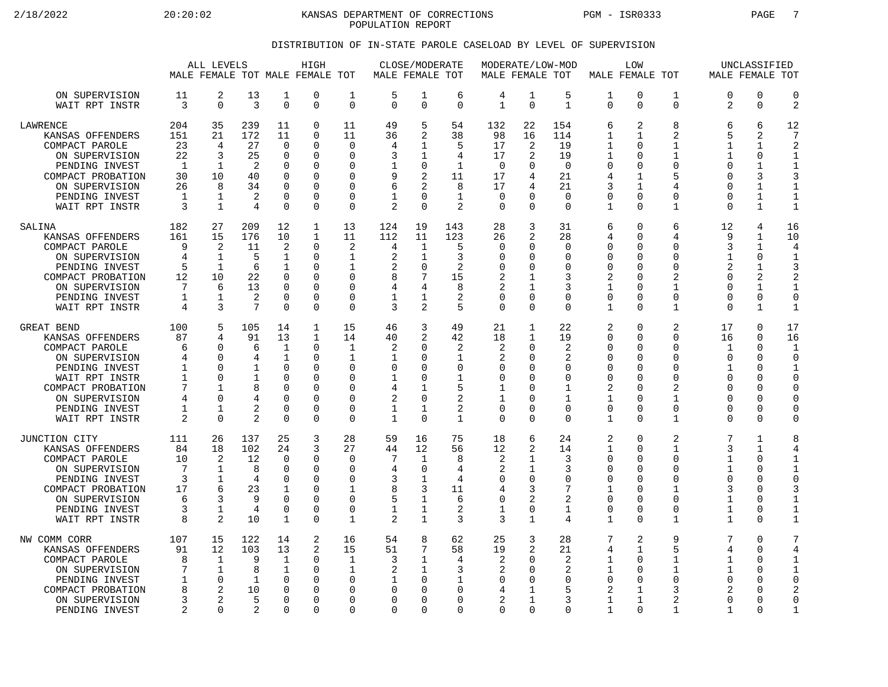2/18/2022 20:20:02 KANSAS DEPARTMENT OF CORRECTIONS PGM - ISR0333 PAGE 7 POPULATION REPORT

## DISTRIBUTION OF IN-STATE PAROLE CASELOAD BY LEVEL OF SUPERVISION

|                                                                                                                                                                                          |                                                    | ALL LEVELS                                                                               |                                                               |                                                                                               | HIGH<br>MALE FEMALE TOT MALE FEMALE TOT                                              |                                                                                               | MALE FEMALE TOT                                        | CLOSE/MODERATE                                                                                      |                                                                                         |                                                                                | MODERATE/LOW-MOD<br>MALE FEMALE TOT                                   |                                                                           |                                                                                  | LOW<br>MALE FEMALE TOT                                                                                 |                                                                                                |                                                                                     | UNCLASSIFIED<br>MALE FEMALE TOT                                                          |                                                                                                          |
|------------------------------------------------------------------------------------------------------------------------------------------------------------------------------------------|----------------------------------------------------|------------------------------------------------------------------------------------------|---------------------------------------------------------------|-----------------------------------------------------------------------------------------------|--------------------------------------------------------------------------------------|-----------------------------------------------------------------------------------------------|--------------------------------------------------------|-----------------------------------------------------------------------------------------------------|-----------------------------------------------------------------------------------------|--------------------------------------------------------------------------------|-----------------------------------------------------------------------|---------------------------------------------------------------------------|----------------------------------------------------------------------------------|--------------------------------------------------------------------------------------------------------|------------------------------------------------------------------------------------------------|-------------------------------------------------------------------------------------|------------------------------------------------------------------------------------------|----------------------------------------------------------------------------------------------------------|
| ON SUPERVISION<br>WAIT RPT INSTR                                                                                                                                                         | 11<br>3                                            | 2<br>$\mathbf 0$                                                                         | 13<br>3                                                       | 1<br>$\mathbf 0$                                                                              | 0<br>0                                                                               | 1<br>$\mathbf 0$                                                                              | 5<br>$\Omega$                                          | 1<br>$\mathbf 0$                                                                                    | 6<br>$\Omega$                                                                           | 4<br>$\mathbf{1}$                                                              | 1<br>$\mathbf 0$                                                      | 5<br>$\mathbf{1}$                                                         | 1<br>$\Omega$                                                                    | $\mathbf 0$<br>$\Omega$                                                                                | 1<br>0                                                                                         | $\Omega$<br>2                                                                       | $\mathbf 0$<br>$\mathbf 0$                                                               | $\mathbf 0$<br>$\overline{2}$                                                                            |
| <b>LAWRENCE</b><br>KANSAS OFFENDERS<br>COMPACT PAROLE<br>ON SUPERVISION<br>PENDING INVEST<br>COMPACT PROBATION<br>ON SUPERVISION<br>PENDING INVEST<br>WAIT RPT INSTR                     | 204<br>151<br>23<br>22<br>1<br>30<br>26<br>1<br>3  | 35<br>21<br>4<br>3<br>1<br>10<br>8<br>1<br>$\mathbf{1}$                                  | 239<br>172<br>27<br>25<br>2<br>40<br>34<br>2<br>4             | 11<br>11<br>$\mathbf 0$<br>$\Omega$<br>0<br>$\Omega$<br>$\Omega$<br>$\mathbf 0$<br>$\Omega$   | 0<br>0<br>0<br>0<br>$\Omega$<br>$\Omega$<br>0<br>0<br>0                              | 11<br>11<br>$\mathbf 0$<br>$\Omega$<br>∩<br>$\Omega$<br>$\Omega$<br>$\Omega$<br>$\Omega$      | 49<br>36<br>4<br>3<br>9<br>6<br>$\overline{2}$         | 5<br>2<br>1<br>1<br>0<br>$\overline{2}$<br>2<br>$\Omega$<br>$\Omega$                                | 54<br>38<br>5<br>4<br>$\mathbf{1}$<br>11<br>8<br>$\mathbf 1$<br>2                       | 132<br>98<br>17<br>17<br>$\overline{0}$<br>17<br>17<br>$\mathbf 0$<br>$\Omega$ | 22<br>16<br>2<br>2<br>U<br>4<br>4<br>$\Omega$<br>$\Omega$             | 154<br>114<br>19<br>19<br>$\mathbf 0$<br>21<br>21<br>$\Omega$<br>$\Omega$ | 6<br>1<br>1<br>1<br>0<br>4<br>3<br>0<br>1                                        | 2<br>1<br>$\Omega$<br>$\Omega$<br>$\Omega$<br>$\mathbf 1$<br>1<br>0<br>$\Omega$                        | 8<br>2<br>$\mathbf{1}$<br>1<br>$\Omega$<br>5<br>4<br>0<br>$\mathbf{1}$                         | 6<br>5<br>$\mathbf{1}$<br>1<br>∩<br>$\Omega$<br>$\Omega$<br>$\Omega$<br>$\Omega$    | 6<br>2<br>$\mathbf{1}$<br>0<br>1<br>3<br>1<br>$\mathbf{1}$<br>$\mathbf{1}$               | 12<br>7<br>$\overline{2}$<br>1<br>$\mathbf{1}$<br>3<br>1<br>$\mathbf 1$<br>$\mathbf{1}$                  |
| SALINA<br>KANSAS OFFENDERS<br>COMPACT PAROLE<br>ON SUPERVISION<br>PENDING INVEST<br>COMPACT PROBATION<br>ON SUPERVISION<br>PENDING INVEST<br>WAIT RPT INSTR                              | 182<br>161<br>9<br>4<br>5<br>12<br>7<br>1<br>4     | 27<br>15<br>2<br>$\mathbf{1}$<br>1<br>10<br>6<br>1<br>3                                  | 209<br>176<br>11<br>5<br>6<br>22<br>13<br>$\overline{2}$<br>7 | 12<br>10<br>2<br>$\mathbf{1}$<br>1<br>$\Omega$<br>$\Omega$<br>0<br>$\Omega$                   | 1<br>$\mathbf 1$<br>0<br>0<br>0<br>0<br>0<br>0<br>0                                  | 13<br>11<br>2<br>1<br>1<br>$\Omega$<br>$\Omega$<br>0<br>$\Omega$                              | 124<br>112<br>4<br>2<br>2<br>8<br>4<br>1<br>3          | 19<br>11<br>1<br>1<br>$\mathbf 0$<br>7<br>4<br>1<br>2                                               | 143<br>123<br>5<br>3<br>$\overline{2}$<br>15<br>8<br>2<br>5                             | 28<br>26<br>$\mathbf 0$<br>$\Omega$<br>$\mathbf 0$<br>2<br>2<br>0<br>$\Omega$  | 3<br>2<br>$\Omega$<br>O<br>$\Omega$<br>1<br>1<br>$\Omega$<br>$\Omega$ | 31<br>28<br>0<br>$\Omega$<br>0<br>3<br>3<br>0<br>$\Omega$                 | 6<br>4<br>0<br>$\Omega$<br>$\mathbf 0$<br>2<br>$\mathbf{1}$<br>0<br>$\mathbf{1}$ | $\Omega$<br>∩<br>$\Omega$<br>$\Omega$<br>$\Omega$<br>$\Omega$<br>$\Omega$<br>0<br>$\Omega$             | 6<br>4<br>0<br>$\Omega$<br>0<br>$\mathfrak{D}$<br>1<br>0<br>$\mathbf{1}$                       | 12<br>9<br>3<br>1<br>$\overline{2}$<br>$\Omega$<br>$\Omega$<br>$\Omega$<br>$\Omega$ | 4<br>1<br>1<br>$\Omega$<br>$\mathbf{1}$<br>2<br>$\mathbf{1}$<br>0<br>$\mathbf{1}$        | 16<br>10<br>4<br>$\mathbf{1}$<br>3<br>$\overline{2}$<br>$\mathbf{1}$<br>0<br>$\mathbf{1}$                |
| <b>GREAT BEND</b><br>KANSAS OFFENDERS<br>COMPACT PAROLE<br>ON SUPERVISION<br>PENDING INVEST<br>WAIT RPT INSTR<br>COMPACT PROBATION<br>ON SUPERVISION<br>PENDING INVEST<br>WAIT RPT INSTR | 100<br>87<br>6<br>4<br>1<br>1<br>7<br>4<br>1<br>2  | 5<br>4<br>$\Omega$<br>$\Omega$<br>$\Omega$<br>$\Omega$<br>1<br>$\Omega$<br>1<br>$\Omega$ | 105<br>91<br>6<br>4<br>1<br>1<br>8<br>$\overline{2}$<br>2     | 14<br>13<br>1<br>1<br>$\Omega$<br>$\Omega$<br>$\Omega$<br>$\Omega$<br>$\mathbf 0$<br>$\Omega$ | 1<br>$\mathbf 1$<br>0<br>0<br>$\Omega$<br>$\Omega$<br>0<br>$\Omega$<br>$\Omega$<br>0 | 15<br>14<br>1<br>1<br>$\Omega$<br>$\Omega$<br>$\Omega$<br>$\Omega$<br>$\mathbf 0$<br>$\Omega$ | 46<br>40<br>2<br>1<br>0<br>1<br>4<br>2<br>1<br>1       | 3<br>2<br>$\Omega$<br>$\Omega$<br>$\Omega$<br>$\Omega$<br>1<br>$\Omega$<br>$\mathbf{1}$<br>$\Omega$ | 49<br>42<br>2<br>$\mathbf 1$<br>$\Omega$<br>$\mathbf{1}$<br>5<br>2<br>2<br>$\mathbf{1}$ | 21<br>18<br>2<br>2<br>0<br>0<br>1<br>1<br>$\mathbf 0$<br>$\mathbf 0$           | 1<br>$\mathbf{1}$<br>O<br>U<br>U<br>O<br>O<br>U<br>0<br>$\Omega$      | 22<br>19<br>2<br>2<br>$\Omega$<br>$\Omega$<br>1<br>1<br>0<br>$\Omega$     | 2<br>0<br>0<br>0<br>0<br>$\Omega$<br>2<br>1<br>$\mathbf 0$<br>1                  | $\Omega$<br>$\Omega$<br>$\Omega$<br>∩<br>∩<br>$\Omega$<br>$\Omega$<br>$\Omega$<br>$\Omega$<br>$\Omega$ | 2<br>$\Omega$<br>$\Omega$<br>$\Omega$<br>$\Omega$<br>$\Omega$<br>2<br>1<br>$\mathbf 0$<br>1    | 17<br>16<br>1<br>$\Omega$<br>1<br>$\Omega$<br>$\Omega$<br>∩<br>$\Omega$<br>$\Omega$ | $\Omega$<br>$\Omega$<br>0<br>0<br>$\Omega$<br>$\Omega$<br>0<br>$\Omega$<br>0<br>$\Omega$ | 17<br>16<br>-1<br>$\mathbf 0$<br>$\mathbf{1}$<br>$\Omega$<br>$\mathbf 0$<br>0<br>$\mathbf 0$<br>$\Omega$ |
| JUNCTION CITY<br>KANSAS OFFENDERS<br>COMPACT PAROLE<br>ON SUPERVISION<br>PENDING INVEST<br>COMPACT PROBATION<br>ON SUPERVISION<br>PENDING INVEST<br>WAIT RPT INSTR                       | 111<br>84<br>10<br>7<br>3<br>17<br>6<br>3<br>8     | 26<br>18<br>$\overline{2}$<br>$\mathbf{1}$<br>$\mathbf 1$<br>6<br>3<br>1<br>2            | 137<br>102<br>12<br>8<br>4<br>23<br>9<br>4<br>10              | 25<br>24<br>$\mathbf 0$<br>$\Omega$<br>$\mathbf 0$<br>1<br>$\Omega$<br>$\overline{0}$<br>1    | 3<br>3<br>0<br>0<br>$\Omega$<br>$\Omega$<br>$\Omega$<br>0<br>$\Omega$                | 28<br>27<br>$\Omega$<br>$\Omega$<br>$\mathbf 0$<br>-1<br>∩<br>$\mathbf 0$<br>1                | 59<br>44<br>7<br>4<br>3<br>8<br>5<br>1<br>2            | 16<br>12<br>1<br>$\Omega$<br>$\mathbf 1$<br>3<br>$\mathbf 1$<br>$\mathbf{1}$<br>$\mathbf{1}$        | 75<br>56<br>8<br>4<br>4<br>11<br>6<br>$\overline{a}$<br>3                               | 18<br>12<br>2<br>2<br>0<br>4<br>0<br>$\mathbf{1}$<br>3                         | 6<br>2<br>1<br>1<br>$\Omega$<br>3<br>2<br>0<br>$\mathbf{1}$           | 24<br>14<br>3<br>3<br>0<br>7<br>2<br>$\mathbf{1}$<br>4                    | 2<br>$\mathbf 1$<br>0<br>$\Omega$<br>$\mathbf 0$<br>1<br>0<br>0<br>$\mathbf{1}$  | $\Omega$<br>$\Omega$<br>$\Omega$<br>∩<br>$\Omega$<br>$\Omega$<br>∩<br>$\Omega$<br>$\Omega$             | $\overline{2}$<br>$\mathbf{1}$<br>0<br>$\Omega$<br>$\Omega$<br>-1<br>$\Omega$<br>$\Omega$<br>1 | 7<br>3<br>$\mathbf{1}$<br>1<br>$\Omega$<br>3<br>1<br>1<br>1                         | $\mathbf{1}$<br>1<br>0<br>$\Omega$<br>0<br>$\Omega$<br>0<br>0<br>$\Omega$                | 8<br>4<br>$\mathbf{1}$<br>1<br>$\mathbf 0$<br>3<br>1<br>$1\,$<br>$1\,$                                   |
| NW COMM CORR<br>KANSAS OFFENDERS<br>COMPACT PAROLE<br>ON SUPERVISION<br>PENDING INVEST<br>COMPACT PROBATION<br>ON SUPERVISION<br>PENDING INVEST                                          | 107<br>91<br>8<br>7<br>$\mathbf{1}$<br>8<br>3<br>2 | 15<br>12<br>1<br>1<br>$\mathbf 0$<br>$\mathfrak{D}$<br>$\overline{2}$<br>$\Omega$        | 122<br>103<br>9<br>8<br>1<br>10<br>5<br>$\mathfrak{D}$        | 14<br>13<br>$\mathbf 1$<br>$\mathbf 1$<br>$\mathbf 0$<br>$\Omega$<br>$\Omega$<br>$\Omega$     | 2<br>2<br>0<br>0<br>0<br>$\Omega$<br>$\Omega$<br>$\Omega$                            | 16<br>15<br>1<br>1<br>$\Omega$<br>O<br>$\Omega$<br>$\Omega$                                   | 54<br>51<br>3<br>2<br>$\Omega$<br>$\Omega$<br>$\Omega$ | 8<br>7<br>1<br>1<br>0<br>$\Omega$<br>$\Omega$<br>$\Omega$                                           | 62<br>58<br>4<br>3<br>$\mathbf{1}$<br>$\Omega$<br>$\Omega$<br>$\Omega$                  | 25<br>19<br>2<br>2<br>$\mathbf 0$<br>4<br>2<br>$\Omega$                        | 3<br>2<br>O<br>U<br>O<br>1<br>1<br>$\Omega$                           | 28<br>21<br>2<br>2<br>0<br>5<br>3<br>$\Omega$                             | 7<br>4<br>1<br>1<br>$\mathbf 0$<br>2<br>$\mathbf{1}$<br>$\mathbf{1}$             | $\overline{2}$<br>$\mathbf{1}$<br>$\Omega$<br>∩<br>$\Omega$<br>1<br>$\mathbf{1}$<br>$\Omega$           | 9<br>5<br>1<br>1<br>0<br>3<br>2<br>$\mathbf{1}$                                                | 7<br>4<br>1<br>1<br>$\Omega$<br>$\mathfrak{D}$<br>$\Omega$<br>1                     | $\Omega$<br>$\mathbf 0$<br>$\Omega$<br>0<br>0<br>0<br>$\Omega$<br>$\Omega$               | 7<br>4<br>$\mathbf{1}$<br>$\mathbf 1$<br>$\mathbf 0$<br>2<br>$\mathbf 0$<br>$\mathbf{1}$                 |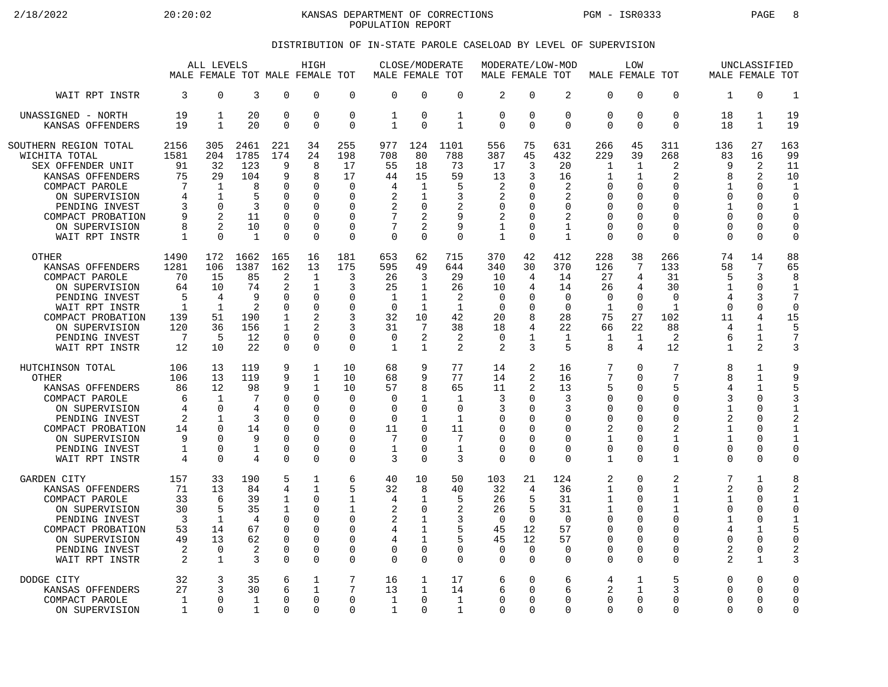2/18/2022 20:20:02 20:20:02 KANSAS DEPARTMENT OF CORRECTIONS PGM - ISR0333 PAGE 8 POPULATION REPORT

## DISTRIBUTION OF IN-STATE PAROLE CASELOAD BY LEVEL OF SUPERVISION

|                                                                                                                                                                                                |                                                                   | ALL LEVELS                                                                                              |                                                                       |                                                                         | HIGH<br>MALE FEMALE TOT MALE FEMALE TOT                                                    |                                                                                                   | MALE FEMALE TOT                                                     | CLOSE/MODERATE                                                                  |                                                              | MODERATE/LOW-MOD<br>MALE FEMALE TOT                                          |                                                                |                                                                                         | MALE FEMALE TOT                                                                                        | LOW                                                                       |                                                                                                 |                                                                                         | UNCLASSIFIED<br>MALE FEMALE TOT                                                                         |                                                                                                      |
|------------------------------------------------------------------------------------------------------------------------------------------------------------------------------------------------|-------------------------------------------------------------------|---------------------------------------------------------------------------------------------------------|-----------------------------------------------------------------------|-------------------------------------------------------------------------|--------------------------------------------------------------------------------------------|---------------------------------------------------------------------------------------------------|---------------------------------------------------------------------|---------------------------------------------------------------------------------|--------------------------------------------------------------|------------------------------------------------------------------------------|----------------------------------------------------------------|-----------------------------------------------------------------------------------------|--------------------------------------------------------------------------------------------------------|---------------------------------------------------------------------------|-------------------------------------------------------------------------------------------------|-----------------------------------------------------------------------------------------|---------------------------------------------------------------------------------------------------------|------------------------------------------------------------------------------------------------------|
| WAIT RPT INSTR                                                                                                                                                                                 | 3                                                                 | $\mathbf 0$                                                                                             | 3                                                                     | 0                                                                       | $\Omega$                                                                                   | $\mathbf 0$                                                                                       | $\Omega$                                                            | $\Omega$                                                                        | $\mathbf 0$                                                  | $\overline{2}$                                                               | $\mathbf 0$                                                    | $\overline{a}$                                                                          | $\Omega$                                                                                               | 0                                                                         | $\Omega$                                                                                        | 1                                                                                       | $\Omega$                                                                                                | $\mathbf{1}$                                                                                         |
| UNASSIGNED - NORTH                                                                                                                                                                             | 19                                                                | $\mathbf 1$                                                                                             | 20                                                                    | 0                                                                       | $\mathbf 0$                                                                                | $\mathbf 0$                                                                                       | 1                                                                   | $\mathbf 0$                                                                     | $\mathbf{1}$                                                 | $\overline{0}$                                                               | $\mathbf 0$                                                    | 0                                                                                       | 0                                                                                                      | 0                                                                         | $\mathbf 0$                                                                                     | 18                                                                                      | $\mathbf{1}$                                                                                            | 19                                                                                                   |
| KANSAS OFFENDERS                                                                                                                                                                               | 19                                                                | $\mathbf{1}$                                                                                            | 20                                                                    | $\Omega$                                                                | $\Omega$                                                                                   | $\Omega$                                                                                          | $\mathbf{1}$                                                        | $\Omega$                                                                        | $\mathbf{1}$                                                 | $\Omega$                                                                     | $\Omega$                                                       | $\Omega$                                                                                | $\Omega$                                                                                               | $\Omega$                                                                  | $\Omega$                                                                                        | 18                                                                                      | $\mathbf{1}$                                                                                            | 19                                                                                                   |
| SOUTHERN REGION TOTAL<br>WICHITA TOTAL<br>SEX OFFENDER UNIT<br>KANSAS OFFENDERS<br>COMPACT PAROLE<br>ON SUPERVISION<br>PENDING INVEST<br>COMPACT PROBATION<br>ON SUPERVISION<br>WAIT RPT INSTR | 2156<br>1581<br>91<br>75<br>7<br>4<br>3<br>9<br>8<br>$\mathbf{1}$ | 305<br>204<br>32<br>29<br>$\mathbf 1$<br>-1<br>$\Omega$<br>$\overline{2}$<br>$\mathfrak{D}$<br>$\Omega$ | 2461<br>1785<br>123<br>104<br>8<br>5<br>3<br>11<br>10<br>$\mathbf{1}$ | 221<br>174<br>9<br>9<br>0<br>O<br>U<br>$\Omega$<br>$\Omega$<br>$\Omega$ | 34<br>24<br>8<br>8<br>$\Omega$<br>$\Omega$<br>$\Omega$<br>$\Omega$<br>$\Omega$<br>$\Omega$ | 255<br>198<br>17<br>17<br>$\mathbf 0$<br>$\Omega$<br>$\Omega$<br>$\Omega$<br>$\Omega$<br>$\Omega$ | 977<br>708<br>55<br>44<br>4<br>$\overline{2}$<br>2<br>7<br>$\Omega$ | 124<br>80<br>18<br>15<br>$\mathbf{1}$<br>1<br>$\mathbf 0$<br>2<br>2<br>$\Omega$ | 1101<br>788<br>73<br>59<br>5<br>3<br>2<br>9<br>9<br>$\Omega$ | 556<br>387<br>17<br>13<br>2<br>$\overline{2}$<br>0<br>2<br>1<br>$\mathbf{1}$ | 75<br>45<br>3<br>3<br>$\Omega$<br>O<br>U<br>O<br>U<br>$\Omega$ | 631<br>432<br>20<br>16<br>2<br>$\overline{2}$<br>0<br>2<br>$\mathbf{1}$<br>$\mathbf{1}$ | 266<br>229<br>$\mathbf{1}$<br>1<br>0<br>$\Omega$<br>$\mathbf 0$<br>$\mathbf 0$<br>$\Omega$<br>$\Omega$ | 45<br>39<br>1<br>1<br>0<br><sup>0</sup><br>U<br>0<br>$\Omega$<br>$\Omega$ | 311<br>268<br>2<br>2<br>$\mathbf 0$<br>$\Omega$<br>$\Omega$<br>$\Omega$<br>$\Omega$<br>$\Omega$ | 136<br>83<br>9<br>8<br>1<br>$\Omega$<br>$\mathbf 1$<br>$\Omega$<br>$\Omega$<br>$\Omega$ | 27<br>16<br>$\overline{2}$<br>2<br>$\Omega$<br>$\Omega$<br>$\Omega$<br>$\Omega$<br>$\Omega$<br>$\Omega$ | 163<br>99<br>11<br>10<br>$\mathbf 1$<br>$\Omega$<br>$\mathbf{1}$<br>$\Omega$<br>$\Omega$<br>$\Omega$ |
| <b>OTHER</b>                                                                                                                                                                                   | 1490                                                              | 172                                                                                                     | 1662                                                                  | 165                                                                     | 16                                                                                         | 181                                                                                               | 653                                                                 | 62                                                                              | 715                                                          | 370                                                                          | 42                                                             | 412                                                                                     | 228                                                                                                    | 38                                                                        | 266                                                                                             | 74                                                                                      | 14                                                                                                      | 88                                                                                                   |
| KANSAS OFFENDERS                                                                                                                                                                               | 1281                                                              | 106                                                                                                     | 1387                                                                  | 162                                                                     | 13                                                                                         | 175                                                                                               | 595                                                                 | 49                                                                              | 644                                                          | 340                                                                          | 30                                                             | 370                                                                                     | 126                                                                                                    | 7                                                                         | 133                                                                                             | 58                                                                                      | 7                                                                                                       | 65                                                                                                   |
| COMPACT PAROLE                                                                                                                                                                                 | 70                                                                | 15                                                                                                      | 85                                                                    | 2                                                                       | $\mathbf{1}$                                                                               | 3                                                                                                 | 26                                                                  | 3                                                                               | 29                                                           | 10                                                                           | 4                                                              | 14                                                                                      | 27                                                                                                     | 4                                                                         | 31                                                                                              | 5                                                                                       | 3                                                                                                       | 8                                                                                                    |
| ON SUPERVISION                                                                                                                                                                                 | 64                                                                | 10                                                                                                      | 74                                                                    | $\overline{2}$                                                          | 1                                                                                          | 3                                                                                                 | 25                                                                  | 1                                                                               | 26                                                           | 10                                                                           | 4                                                              | 14                                                                                      | 26                                                                                                     | 4                                                                         | 30                                                                                              | $\mathbf{1}$                                                                            | $\Omega$                                                                                                | $\mathbf{1}$                                                                                         |
| PENDING INVEST                                                                                                                                                                                 | 5                                                                 | 4                                                                                                       | 9                                                                     | U                                                                       | $\Omega$                                                                                   | $\Omega$                                                                                          | 1                                                                   | $\mathbf{1}$                                                                    | 2                                                            | $\mathbf 0$                                                                  | 0                                                              | 0                                                                                       | $\mathbf 0$                                                                                            | 0                                                                         | $\mathbf 0$                                                                                     | 4                                                                                       | 3                                                                                                       | 7                                                                                                    |
| WAIT RPT INSTR                                                                                                                                                                                 | $\mathbf{1}$                                                      | $\mathbf{1}$                                                                                            | 2                                                                     | O                                                                       | $\Omega$                                                                                   | $\Omega$                                                                                          | $\Omega$                                                            | $\mathbf{1}$                                                                    | $\mathbf{1}$                                                 | $\Omega$                                                                     | O                                                              | $\Omega$                                                                                | $\mathbf{1}$                                                                                           | $\Omega$                                                                  | $\mathbf{1}$                                                                                    | $\Omega$                                                                                | $\Omega$                                                                                                | $\mathbf 0$                                                                                          |
| COMPACT PROBATION                                                                                                                                                                              | 139                                                               | 51                                                                                                      | 190                                                                   | 1                                                                       | 2                                                                                          | 3                                                                                                 | 32                                                                  | 10                                                                              | 42                                                           | 20                                                                           | 8                                                              | 28                                                                                      | 75                                                                                                     | 27                                                                        | 102                                                                                             | 11                                                                                      | 4                                                                                                       | 15                                                                                                   |
| ON SUPERVISION                                                                                                                                                                                 | 120                                                               | 36                                                                                                      | 156                                                                   | $\mathbf{1}$                                                            | $\mathfrak{D}$                                                                             | 3                                                                                                 | 31                                                                  | 7                                                                               | 38                                                           | 18                                                                           | 4                                                              | 22                                                                                      | 66                                                                                                     | 22                                                                        | 88                                                                                              | 4                                                                                       | $\mathbf{1}$                                                                                            | 5                                                                                                    |
| PENDING INVEST                                                                                                                                                                                 | 7                                                                 | 5                                                                                                       | 12                                                                    | 0                                                                       | $\Omega$                                                                                   | $\Omega$                                                                                          | $\Omega$                                                            | $\overline{2}$                                                                  | 2                                                            | $\Omega$                                                                     | 1                                                              | 1                                                                                       | 1                                                                                                      | 1                                                                         | 2                                                                                               | 6                                                                                       | $\mathbf{1}$                                                                                            | $\overline{7}$                                                                                       |
| WAIT RPT INSTR                                                                                                                                                                                 | 12                                                                | 10                                                                                                      | 22                                                                    | 0                                                                       | $\Omega$                                                                                   | 0                                                                                                 | $\mathbf 1$                                                         | $\mathbf{1}$                                                                    | 2                                                            | 2                                                                            | 3                                                              | 5                                                                                       | 8                                                                                                      | 4                                                                         | 12                                                                                              | $\mathbf{1}$                                                                            | 2                                                                                                       | 3                                                                                                    |
| HUTCHINSON TOTAL                                                                                                                                                                               | 106                                                               | 13                                                                                                      | 119                                                                   | 9                                                                       | $\mathbf 1$                                                                                | 10                                                                                                | 68                                                                  | 9                                                                               | 77                                                           | 14                                                                           | 2                                                              | 16                                                                                      | 7                                                                                                      | 0                                                                         | 7                                                                                               | 8                                                                                       | 1                                                                                                       | 9                                                                                                    |
| <b>OTHER</b>                                                                                                                                                                                   | 106                                                               | 13                                                                                                      | 119                                                                   | 9                                                                       | $\mathbf{1}$                                                                               | 10                                                                                                | 68                                                                  | 9                                                                               | 77                                                           | 14                                                                           | 2                                                              | 16                                                                                      | 7                                                                                                      | $\Omega$                                                                  | 7                                                                                               | 8                                                                                       | $\mathbf{1}$                                                                                            | 9                                                                                                    |
| KANSAS OFFENDERS                                                                                                                                                                               | 86                                                                | 12                                                                                                      | 98                                                                    | 9                                                                       | $\mathbf{1}$                                                                               | 10                                                                                                | 57                                                                  | 8                                                                               | 65                                                           | 11                                                                           | 2                                                              | 13                                                                                      | 5                                                                                                      | <sup>0</sup>                                                              | 5                                                                                               | 4                                                                                       | $\mathbf{1}$                                                                                            | 5                                                                                                    |
| COMPACT PAROLE                                                                                                                                                                                 | 6                                                                 | $\mathbf{1}$                                                                                            | 7                                                                     | $\Omega$                                                                | $\Omega$                                                                                   | $\Omega$                                                                                          | $\Omega$                                                            | $\mathbf{1}$                                                                    | $\mathbf{1}$                                                 | 3                                                                            | $\Omega$                                                       | 3                                                                                       | $\mathbf 0$                                                                                            | $\Omega$                                                                  | $\mathbf 0$                                                                                     | 3                                                                                       | $\Omega$                                                                                                | 3                                                                                                    |
| ON SUPERVISION                                                                                                                                                                                 | 4                                                                 | $\Omega$                                                                                                | 4                                                                     | O                                                                       | $\Omega$                                                                                   | $\Omega$                                                                                          | $\Omega$                                                            | $\Omega$                                                                        | $\Omega$                                                     | 3                                                                            | $\Omega$                                                       | 3                                                                                       | $\Omega$                                                                                               | <sup>0</sup>                                                              | $\Omega$                                                                                        | $\mathbf{1}$                                                                            | $\Omega$                                                                                                | $\mathbf{1}$                                                                                         |
| PENDING INVEST                                                                                                                                                                                 | 2                                                                 | $\mathbf{1}$                                                                                            | 3                                                                     | 0                                                                       | $\Omega$                                                                                   | $\Omega$                                                                                          | $\mathbf 0$                                                         | $\mathbf{1}$                                                                    | $\mathbf{1}$                                                 | $\mathbf 0$                                                                  | $\Omega$                                                       | 0                                                                                       | $\mathbf 0$                                                                                            | 0                                                                         | $\Omega$                                                                                        | 2                                                                                       | $\Omega$                                                                                                | $\overline{2}$                                                                                       |
| COMPACT PROBATION                                                                                                                                                                              | 14                                                                | $\Omega$                                                                                                | 14                                                                    | O                                                                       | $\Omega$                                                                                   | $\Omega$                                                                                          | 11                                                                  | $\Omega$                                                                        | 11                                                           | $\Omega$                                                                     | $\Omega$                                                       | $\Omega$                                                                                | 2                                                                                                      | $\Omega$                                                                  | 2                                                                                               | $\mathbf{1}$                                                                            | $\Omega$                                                                                                | $\mathbf{1}$                                                                                         |
| ON SUPERVISION                                                                                                                                                                                 | 9                                                                 | $\cap$                                                                                                  | 9                                                                     | O                                                                       | $\Omega$                                                                                   | $\Omega$                                                                                          | $\overline{7}$                                                      | $\Omega$                                                                        | 7                                                            | $\Omega$                                                                     | O                                                              | $\Omega$                                                                                | $\mathbf{1}$                                                                                           | $\Omega$                                                                  | $\mathbf{1}$                                                                                    | $\mathbf{1}$                                                                            | $\Omega$                                                                                                | $\mathbf{1}$                                                                                         |
| PENDING INVEST                                                                                                                                                                                 | 1                                                                 | 0                                                                                                       | $\mathbf{1}$                                                          | 0                                                                       | 0                                                                                          | 0                                                                                                 | 1                                                                   | $\Omega$                                                                        | $\mathbf{1}$                                                 | $\mathbf 0$                                                                  | $\Omega$                                                       | $\Omega$                                                                                | $\mathbf 0$                                                                                            | 0                                                                         | $\mathbf 0$                                                                                     | 0                                                                                       | $\Omega$                                                                                                | $\Omega$                                                                                             |
| WAIT RPT INSTR                                                                                                                                                                                 | 4                                                                 | $\Omega$                                                                                                | 4                                                                     | 0                                                                       | $\Omega$                                                                                   | $\mathbf 0$                                                                                       | 3                                                                   | $\Omega$                                                                        | 3                                                            | $\overline{0}$                                                               | $\Omega$                                                       | $\Omega$                                                                                | $\mathbf{1}$                                                                                           | $\Omega$                                                                  | $\mathbf 1$                                                                                     | 0                                                                                       | $\Omega$                                                                                                | $\circ$                                                                                              |
| <b>GARDEN CITY</b>                                                                                                                                                                             | 157                                                               | 33                                                                                                      | 190                                                                   | 5                                                                       | 1                                                                                          | 6                                                                                                 | 40                                                                  | 10                                                                              | 50                                                           | 103                                                                          | 21                                                             | 124                                                                                     | 2                                                                                                      | 0                                                                         | 2                                                                                               | 7                                                                                       | $\mathbf{1}$                                                                                            | 8                                                                                                    |
| KANSAS OFFENDERS                                                                                                                                                                               | 71                                                                | 13                                                                                                      | 84                                                                    | 4                                                                       | $\mathbf{1}$                                                                               | 5                                                                                                 | 32                                                                  | 8                                                                               | 40                                                           | 32                                                                           | 4                                                              | 36                                                                                      | $\mathbf{1}$                                                                                           | $\Omega$                                                                  | $\mathbf{1}$                                                                                    | 2                                                                                       | $\Omega$                                                                                                | 2                                                                                                    |
| COMPACT PAROLE                                                                                                                                                                                 | 33                                                                | 6                                                                                                       | 39                                                                    | 1                                                                       | $\Omega$                                                                                   | 1                                                                                                 | 4                                                                   | 1                                                                               | 5                                                            | 26                                                                           | 5                                                              | 31                                                                                      | 1                                                                                                      | <sup>0</sup>                                                              | $\mathbf{1}$                                                                                    | $\mathbf{1}$                                                                            | $\Omega$                                                                                                | $\mathbf 1$                                                                                          |
| ON SUPERVISION                                                                                                                                                                                 | 30                                                                | 5                                                                                                       | 35                                                                    | $\mathbf 1$                                                             | $\Omega$                                                                                   | 1                                                                                                 | 2                                                                   | $\mathbf 0$                                                                     | 2                                                            | 26                                                                           | 5                                                              | 31                                                                                      | $\mathbf{1}$                                                                                           | $\Omega$                                                                  | $\mathbf{1}$                                                                                    | $\Omega$                                                                                | $\Omega$                                                                                                | $\Omega$                                                                                             |
| PENDING INVEST                                                                                                                                                                                 | 3                                                                 | $\mathbf{1}$                                                                                            | 4                                                                     | O                                                                       | $\Omega$                                                                                   | 0                                                                                                 | 2                                                                   | 1                                                                               | 3                                                            | $\Omega$                                                                     | $\Omega$                                                       | $\Omega$                                                                                | $\Omega$                                                                                               | <sup>0</sup>                                                              | $\Omega$                                                                                        | 1                                                                                       | $\Omega$                                                                                                | $\mathbf{1}$                                                                                         |
| COMPACT PROBATION                                                                                                                                                                              | 53                                                                | 14                                                                                                      | 67                                                                    | 0                                                                       | $\Omega$                                                                                   | 0                                                                                                 | 4                                                                   | $\mathbf{1}$                                                                    | 5                                                            | 45                                                                           | 12                                                             | 57                                                                                      | $\Omega$                                                                                               | $\Omega$                                                                  | $\mathbf 0$                                                                                     | 4                                                                                       | $\mathbf{1}$                                                                                            | 5                                                                                                    |
| ON SUPERVISION                                                                                                                                                                                 | 49                                                                | 13                                                                                                      | 62                                                                    | $\Omega$                                                                | $\Omega$                                                                                   | $\Omega$                                                                                          | 4                                                                   | $\mathbf{1}$                                                                    | 5                                                            | 45                                                                           | 12                                                             | 57                                                                                      | $\Omega$                                                                                               | $\Omega$                                                                  | $\Omega$                                                                                        | O                                                                                       | $\Omega$                                                                                                | $\Omega$                                                                                             |
| PENDING INVEST                                                                                                                                                                                 | 2                                                                 | 0                                                                                                       | 2                                                                     | 0                                                                       | $\Omega$                                                                                   | 0                                                                                                 | $\Omega$                                                            | $\mathbf 0$                                                                     | $\mathbf 0$                                                  | 0                                                                            | $\mathbf 0$                                                    | 0                                                                                       | $\mathbf 0$                                                                                            | 0                                                                         | 0                                                                                               | 2                                                                                       | 0                                                                                                       | $\overline{2}$                                                                                       |
| WAIT RPT INSTR                                                                                                                                                                                 | 2                                                                 | $\mathbf{1}$                                                                                            | 3                                                                     | 0                                                                       | $\Omega$                                                                                   | $\Omega$                                                                                          | $\Omega$                                                            | $\Omega$                                                                        | $\Omega$                                                     | $\mathbf 0$                                                                  | $\Omega$                                                       | $\Omega$                                                                                | $\Omega$                                                                                               | $\Omega$                                                                  | $\Omega$                                                                                        | 2                                                                                       | $\mathbf{1}$                                                                                            | 3                                                                                                    |
| DODGE CITY                                                                                                                                                                                     | 32                                                                | 3                                                                                                       | 35                                                                    | 6                                                                       | $\mathbf{1}$                                                                               | 7                                                                                                 | 16                                                                  | 1                                                                               | 17                                                           | 6                                                                            | $\Omega$                                                       | 6                                                                                       | 4                                                                                                      | 1                                                                         | 5                                                                                               | 0                                                                                       | $\mathbf 0$                                                                                             | $\Omega$                                                                                             |
| KANSAS OFFENDERS                                                                                                                                                                               | 27                                                                | 3                                                                                                       | 30                                                                    | 6                                                                       | $\mathbf{1}$                                                                               | 7                                                                                                 | 13                                                                  | $\mathbf{1}$                                                                    | 14                                                           | 6                                                                            | $\Omega$                                                       | 6                                                                                       | 2                                                                                                      | 1                                                                         | 3                                                                                               | $\Omega$                                                                                | U                                                                                                       | $\Omega$                                                                                             |
| COMPACT PAROLE                                                                                                                                                                                 | $\mathbf{1}$                                                      | $\Omega$                                                                                                | $\mathbf{1}$                                                          | $\Omega$                                                                | $\Omega$                                                                                   | $\Omega$                                                                                          | $\mathbf{1}$                                                        | $\Omega$                                                                        | $\mathbf{1}$                                                 | 0                                                                            | $\Omega$                                                       | $\Omega$                                                                                | $\Omega$                                                                                               | $\Omega$                                                                  | $\Omega$                                                                                        | $\Omega$                                                                                | $\Omega$                                                                                                | $\Omega$                                                                                             |
| ON SUPERVISION                                                                                                                                                                                 | 1                                                                 | $\Omega$                                                                                                | $\mathbf 1$                                                           | U                                                                       | $\Omega$                                                                                   | $\Omega$                                                                                          | 1                                                                   | $\Omega$                                                                        | $\mathbf{1}$                                                 | $\Omega$                                                                     | $\Omega$                                                       | $\Omega$                                                                                | $\Omega$                                                                                               | $\Omega$                                                                  | $\Omega$                                                                                        | $\Omega$                                                                                | $\Omega$                                                                                                | $\Omega$                                                                                             |